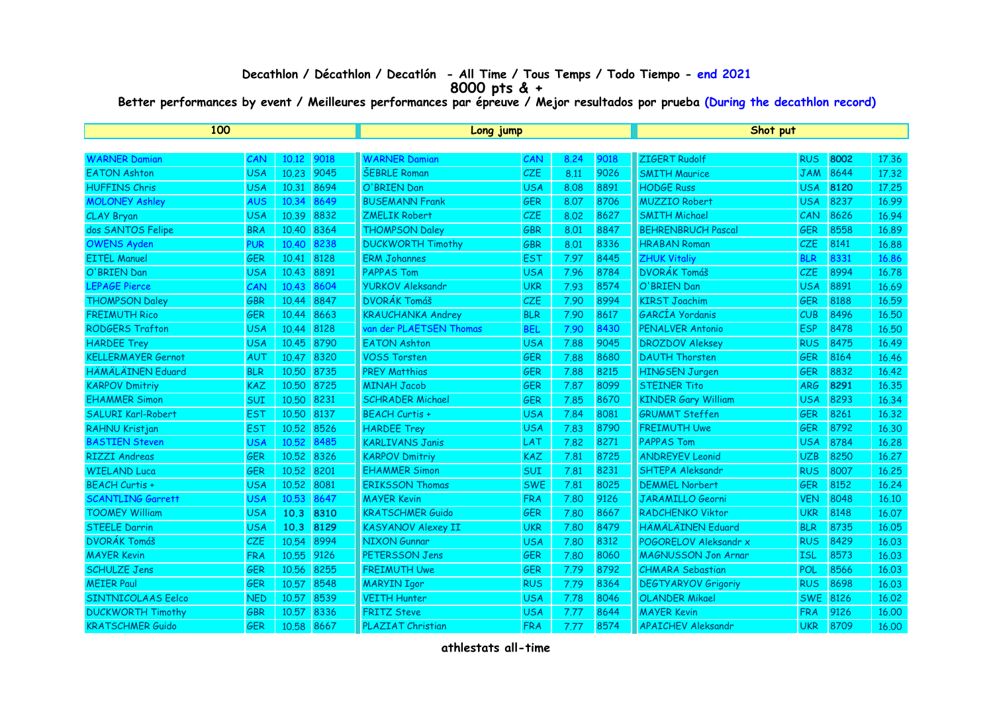## **Decathlon / Décathlon / Decatlón - All Time / Tous Temps / Todo Tiempo - end 2021 8000 pts & +**

**Better performances by event / Meilleures performances par épreuve / Mejor resultados por prueba (During the decathlon record)**

| 100                       |            |            |      | Long jump                 |            |      |      | Shot put                   |            |      |       |
|---------------------------|------------|------------|------|---------------------------|------------|------|------|----------------------------|------------|------|-------|
|                           |            |            |      |                           |            |      |      |                            |            |      |       |
| <b>WARNER Damian</b>      | CAN        | 10.12      | 9018 | <b>WARNER Damian</b>      | CAN        | 8.24 | 9018 | <b>ZIGERT Rudolf</b>       | <b>RUS</b> | 8002 | 17,36 |
| <b>EATON Ashton</b>       | <b>USA</b> | 10.23      | 9045 | <b>ŠEBRLE Roman</b>       | <b>CZE</b> | 8.11 | 9026 | <b>SMITH Maurice</b>       | <b>JAM</b> | 8644 | 17.32 |
| <b>HUFFINS Chris</b>      | <b>USA</b> | 10.31      | 8694 | O'BRIEN Dan               | <b>USA</b> | 8.08 | 8891 | <b>HODGE Russ</b>          | <b>USA</b> | 8120 | 17.25 |
| <b>MOLONEY Ashley</b>     | <b>AUS</b> | 10.34      | 8649 | <b>BUSEMANN Frank</b>     | <b>GER</b> | 8.07 | 8706 | <b>MUZZIO Robert</b>       | <b>USA</b> | 8237 | 16.99 |
| CLAY Bryan                | <b>USA</b> | 10.39      | 8832 | <b>ZMELIK Robert</b>      | CZE        | 8.02 | 8627 | <b>SMITH Michael</b>       | CAN        | 8626 | 16.94 |
| dos SANTOS Felipe         | <b>BRA</b> | 10.40      | 8364 | <b>THOMPSON Daley</b>     | <b>GBR</b> | 8.01 | 8847 | <b>BEHRENBRUCH Pascal</b>  | <b>GER</b> | 8558 | 16.89 |
| <b>OWENS Ayden</b>        | <b>PUR</b> | 10.40      | 8238 | <b>DUCKWORTH Timothy</b>  | <b>GBR</b> | 8.01 | 8336 | <b>HRABAN Roman</b>        | <b>CZE</b> | 8141 | 16.88 |
| <b>EITEL Manuel</b>       | <b>GER</b> | 10.41      | 8128 | <b>ERM Johannes</b>       | <b>EST</b> | 7.97 | 8445 | <b>ZHUK Vitaliy</b>        | <b>BLR</b> | 8331 | 16.86 |
| O'BRIEN Dan               | <b>USA</b> | 10.43      | 8891 | <b>PAPPAS Tom</b>         | <b>USA</b> | 7.96 | 8784 | <b>DVORÁK Tomáš</b>        | <b>CZE</b> | 8994 | 16.78 |
| <b>LEPAGE Pierce</b>      | CAN        | 10.43      | 8604 | <b>YURKOV Aleksandr</b>   | <b>UKR</b> | 7.93 | 8574 | O'BRIEN Dan                | <b>USA</b> | 8891 | 16.69 |
| <b>THOMPSON Daley</b>     | <b>GBR</b> | 10.44      | 8847 | <b>DVORÁK Tomáš</b>       | <b>CZE</b> | 7.90 | 8994 | <b>KIRST Joachim</b>       | <b>GER</b> | 8188 | 16.59 |
| <b>FREIMUTH Rico</b>      | <b>GER</b> | 10.44      | 8663 | <b>KRAUCHANKA Andrey</b>  | <b>BLR</b> | 7.90 | 8617 | GARCÍA Yordanis            | CUB        | 8496 | 16,50 |
| <b>RODGERS Trafton</b>    | <b>USA</b> | 10.44      | 8128 | van der PLAETSEN Thomas   | <b>BEL</b> | 7.90 | 8430 | <b>PENALVER Antonio</b>    | <b>ESP</b> | 8478 | 16.50 |
| <b>HARDEE Trey</b>        | <b>USA</b> | 10.45      | 8790 | <b>EATON Ashton</b>       | <b>USA</b> | 7.88 | 9045 | <b>DROZDOV Aleksey</b>     | <b>RUS</b> | 8475 | 16.49 |
| <b>KELLERMAYER Gernot</b> | AUT        | 10.47 8320 |      | <b>VOSS Torsten</b>       | <b>GER</b> | 7.88 | 8680 | <b>DAUTH Thorsten</b>      | <b>GER</b> | 8164 | 16.46 |
| <b>HÄMÄLÄINEN Eduard</b>  | <b>BLR</b> | 10.50      | 8735 | <b>PREY Matthias</b>      | <b>GER</b> | 7.88 | 8215 | <b>HINGSEN Jurgen</b>      | <b>GER</b> | 8832 | 16.42 |
| <b>KARPOV Dmitriy</b>     | <b>KAZ</b> | 10.50      | 8725 | <b>MINAH Jacob</b>        | <b>GER</b> | 7.87 | 8099 | <b>STEINER Tito</b>        | <b>ARG</b> | 8291 | 16.35 |
| <b>EHAMMER Simon</b>      | SUI        | 10.50      | 8231 | <b>SCHRADER Michael</b>   | <b>GER</b> | 7.85 | 8670 | <b>KINDER Gary William</b> | <b>USA</b> | 8293 | 16.34 |
| <b>SALURI Karl-Robert</b> | <b>EST</b> | 10.50      | 8137 | <b>BEACH Curtis +</b>     | <b>USA</b> | 7.84 | 8081 | <b>GRUMMT Steffen</b>      | <b>GER</b> | 8261 | 16.32 |
| RAHNU Kristjan            | <b>EST</b> | 10.52 8526 |      | <b>HARDEE Trey</b>        | <b>USA</b> | 7.83 | 8790 | <b>FREIMUTH Uwe</b>        | <b>GER</b> | 8792 | 16.30 |
| <b>BASTIEN Steven</b>     | <b>USA</b> | 10.52      | 8485 | <b>KARLIVANS Janis</b>    | LAT        | 7.82 | 8271 | <b>PAPPAS Tom</b>          | <b>USA</b> | 8784 | 16,28 |
| <b>RIZZI Andreas</b>      | GER        | 10.52 8326 |      | <b>KARPOV Dmitriy</b>     | <b>KAZ</b> | 7.81 | 8725 | <b>ANDREYEV Leonid</b>     | <b>UZB</b> | 8250 | 16.27 |
| <b>WIELAND Luca</b>       | <b>GER</b> | 10.52 8201 |      | <b>EHAMMER Simon</b>      | <b>SUI</b> | 7.81 | 8231 | SHTEPA Aleksandr           | <b>RUS</b> | 8007 | 16.25 |
| <b>BEACH Curtis +</b>     | <b>USA</b> | 10.52      | 8081 | <b>ERIKSSON Thomas</b>    | <b>SWE</b> | 7.81 | 8025 | <b>DEMMEL Norbert</b>      | <b>GER</b> | 8152 | 16.24 |
| <b>SCANTLING Garrett</b>  | <b>USA</b> | 10.53      | 8647 | <b>MAYER Kevin</b>        | <b>FRA</b> | 7.80 | 9126 | <b>JARAMILLO Georni</b>    | <b>VEN</b> | 8048 | 16.10 |
| <b>TOOMEY William</b>     | <b>USA</b> | 10.3       | 8310 | <b>KRATSCHMER Guido</b>   | <b>GER</b> | 7.80 | 8667 | <b>RADCHENKO Viktor</b>    | <b>UKR</b> | 8148 | 16.07 |
| <b>STEELE Darrin</b>      | <b>USA</b> | 10.3       | 8129 | <b>KASYANOV Alexey II</b> | <b>UKR</b> | 7.80 | 8479 | <b>HÄMÄLÄINEN Eduard</b>   | <b>BLR</b> | 8735 | 16.05 |
| <b>DVORÁK Tomáš</b>       | CZE        | 10.54      | 8994 | <b>NIXON Gunnar</b>       | <b>USA</b> | 7.80 | 8312 | POGORELOV Aleksandr x      | <b>RUS</b> | 8429 | 16.03 |
| <b>MAYER Kevin</b>        | <b>FRA</b> | 10.55      | 9126 | PETERSSON Jens            | <b>GER</b> | 7.80 | 8060 | <b>MAGNUSSON Jon Arnar</b> | <b>ISL</b> | 8573 | 16.03 |
| <b>SCHULZE Jens</b>       | <b>GER</b> | 10.56      | 8255 | <b>FREIMUTH Uwe</b>       | <b>GER</b> | 7.79 | 8792 | <b>CHMARA</b> Sebastian    | POL        | 8566 | 16.03 |
| <b>MEIER Paul</b>         | <b>GER</b> | 10.57      | 8548 | <b>MARYIN Igor</b>        | <b>RUS</b> | 7.79 | 8364 | <b>DEGTYARYOV Grigoriy</b> | <b>RUS</b> | 8698 | 16.03 |
| <b>SINTNICOLAAS Eelco</b> | <b>NED</b> | 10.57      | 8539 | <b>VEITH Hunter</b>       | <b>USA</b> | 7.78 | 8046 | <b>OLANDER Mikael</b>      | <b>SWE</b> | 8126 | 16.02 |
| <b>DUCKWORTH Timothy</b>  | <b>GBR</b> | 10.57      | 8336 | <b>FRITZ Steve</b>        | <b>USA</b> | 7.77 | 8644 | <b>MAYER Kevin</b>         | <b>FRA</b> | 9126 | 16.00 |
| <b>KRATSCHMER Guido</b>   | <b>GER</b> | 10.58      | 8667 | <b>PLAZIAT Christian</b>  | <b>FRA</b> | 7.77 | 8574 | <b>APAICHEV Aleksandr</b>  | <b>UKR</b> | 8709 | 16.00 |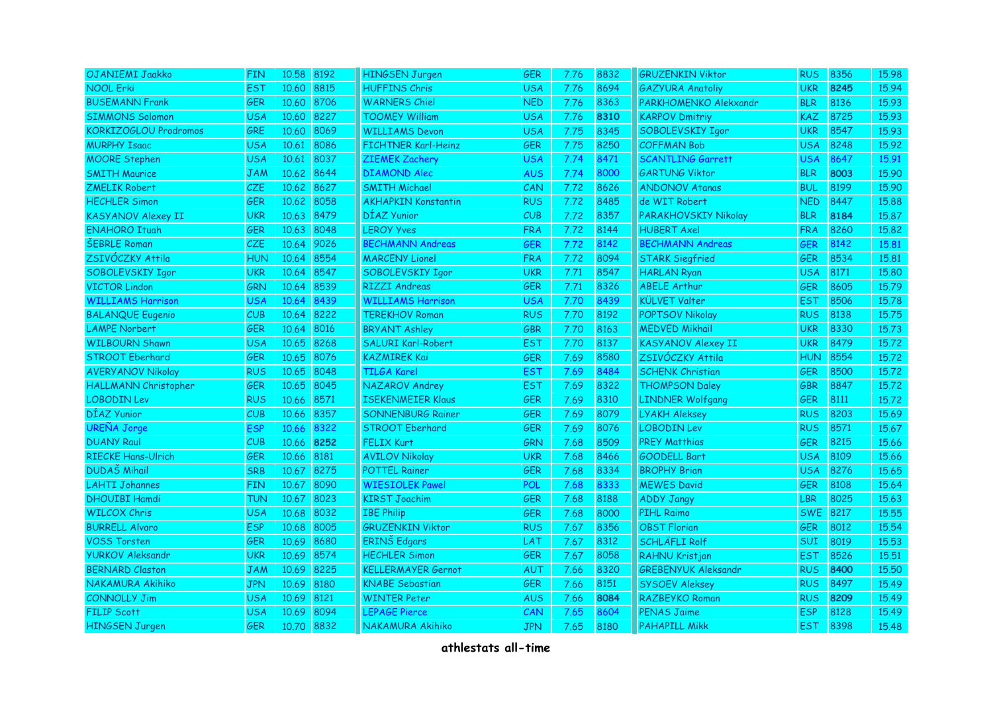| OJANIEMI Jaakko              | <b>FIN</b> | 10.58      | 8192 | <b>HINGSEN Jurgen</b>      | <b>GER</b> | 7.76 | 8832 | <b>GRUZENKIN Viktor</b>    | <b>RUS</b> | 8356 | 15.98 |
|------------------------------|------------|------------|------|----------------------------|------------|------|------|----------------------------|------------|------|-------|
| <b>NOOL Erki</b>             | <b>EST</b> | 10.60      | 8815 | <b>HUFFINS Chris</b>       | <b>USA</b> | 7.76 | 8694 | <b>GAZYURA Anatoliy</b>    | <b>UKR</b> | 8245 | 15.94 |
| <b>BUSEMANN Frank</b>        | <b>GER</b> | 10.60 8706 |      | <b>WARNERS Chiel</b>       | <b>NED</b> | 7.76 | 8363 | PARKHOMENKO Alekxandr      | <b>BLR</b> | 8136 | 15.93 |
| <b>SIMMONS Solomon</b>       | <b>USA</b> | 10.60 8227 |      | <b>TOOMEY William</b>      | <b>USA</b> | 7.76 | 8310 | <b>KARPOV Dmitriy</b>      | <b>KAZ</b> | 8725 | 15.93 |
| <b>KORKIZOGLOU Prodromos</b> | GRE        | 10.60      | 8069 | <b>WILLIAMS Devon</b>      | <b>USA</b> | 7.75 | 8345 | SOBOLEVSKIY Igor           | <b>UKR</b> | 8547 | 15.93 |
| <b>MURPHY Isaac</b>          | <b>USA</b> | 10.61      | 8086 | <b>FICHTNER Karl-Heinz</b> | <b>GER</b> | 7.75 | 8250 | <b>COFFMAN Bob</b>         | USA        | 8248 | 15.92 |
| <b>MOORE Stephen</b>         | <b>USA</b> | 10.61      | 8037 | <b>ZIEMEK Zachery</b>      | <b>USA</b> | 7.74 | 8471 | <b>SCANTLING Garrett</b>   | USA        | 8647 | 15.91 |
| <b>SMITH Maurice</b>         | <b>JAM</b> | 10.62 8644 |      | <b>DIAMOND Alec</b>        | <b>AUS</b> | 7.74 | 8000 | <b>GARTUNG Viktor</b>      | <b>BLR</b> | 8003 | 15.90 |
| <b>ZMELIK Robert</b>         | <b>CZE</b> | 10.62 8627 |      | <b>SMITH Michael</b>       | CAN        | 7.72 | 8626 | <b>ANDONOV Atanas</b>      | <b>BUL</b> | 8199 | 15.90 |
| <b>HECHLER Simon</b>         | <b>GER</b> | 10.62      | 8058 | <b>AKHAPKIN Konstantin</b> | <b>RUS</b> | 7.72 | 8485 | de WIT Robert              | <b>NED</b> | 8447 | 15.88 |
| <b>KASYANOV Alexey II</b>    | <b>UKR</b> | 10.63 8479 |      | DÍAZ Yunior                | CUB        | 7.72 | 8357 | PARAKHOVSKIY Nikolay       | <b>BLR</b> | 8184 | 15.87 |
| <b>ENAHORO Ituah</b>         | <b>GER</b> | 10.63 8048 |      | <b>LEROY Yves</b>          | <b>FRA</b> | 7.72 | 8144 | <b>HUBERT Axel</b>         | <b>FRA</b> | 8260 | 15.82 |
| <b>ŠEBRLE Roman</b>          | CZE        | 10.64      | 9026 | <b>BECHMANN Andreas</b>    | <b>GER</b> | 7.72 | 8142 | <b>BECHMANN Andreas</b>    | GER        | 8142 | 15.81 |
| ZSIVÓCZKY Attila             | HUN        | 10.64      | 8554 | <b>MARCENY Lionel</b>      | <b>FRA</b> | 7.72 | 8094 | <b>STARK Siegfried</b>     | <b>GER</b> | 8534 | 15,81 |
| SOBOLEVSKIY Igor             | UKR        | 10.64 8547 |      | SOBOLEVSKIY Igor           | <b>UKR</b> | 7.71 | 8547 | <b>HARLAN Ryan</b>         | <b>USA</b> | 8171 | 15.80 |
| <b>VICTOR Lindon</b>         | <b>GRN</b> | 10.64 8539 |      | <b>RIZZI Andreas</b>       | <b>GER</b> | 7.71 | 8326 | <b>ABELE Arthur</b>        | <b>GER</b> | 8605 | 15.79 |
| <b>WILLIAMS Harrison</b>     | <b>USA</b> | 10.64      | 8439 | <b>WILLIAMS Harrison</b>   | <b>USA</b> | 7.70 | 8439 | <b>KÜLVET Valter</b>       | <b>EST</b> | 8506 | 15.78 |
| <b>BALANQUE Eugenio</b>      | CUB        | 10.64      | 8222 | <b>TEREKHOV Roman</b>      | <b>RUS</b> | 7.70 | 8192 | <b>POPTSOV Nikolay</b>     | <b>RUS</b> | 8138 | 15.75 |
| <b>LAMPE Norbert</b>         | <b>GER</b> | 10.64 8016 |      | <b>BRYANT Ashley</b>       | <b>GBR</b> | 7.70 | 8163 | <b>MEDVED Mikhail</b>      | <b>UKR</b> | 8330 | 15.73 |
| <b>WILBOURN Shawn</b>        | <b>USA</b> | 10.65 8268 |      | SALURI Karl-Robert         | <b>EST</b> | 7.70 | 8137 | <b>KASYANOV Alexey II</b>  | <b>UKR</b> | 8479 | 15.72 |
| <b>STROOT Eberhard</b>       | GER        | 10.65      | 8076 | <b>KAZMIREK Kai</b>        | GER        | 7.69 | 8580 | ZSIVÓCZKY Attila           | <b>HUN</b> | 8554 | 15.72 |
| <b>AVERYANOV Nikolay</b>     | <b>RUS</b> | 10.65      | 8048 | <b>TILGA Karel</b>         | <b>EST</b> | 7.69 | 8484 | <b>SCHENK Christian</b>    | <b>GER</b> | 8500 | 15.72 |
| HALLMANN Christopher         | GER        | 10.65      | 8045 | NAZAROV Andrey             | <b>EST</b> | 7.69 | 8322 | <b>THOMPSON Daley</b>      | <b>GBR</b> | 8847 | 15.72 |
| <b>LOBODIN Lev</b>           | <b>RUS</b> | 10.66 8571 |      | <b>ISEKENMEIER Klaus</b>   | <b>GER</b> | 7.69 | 8310 | <b>LINDNER Wolfgang</b>    | <b>GER</b> | 8111 | 15.72 |
| DÍAZ Yunior                  | CUB        | 10.66 8357 |      | <b>SONNENBURG Rainer</b>   | <b>GER</b> | 7.69 | 8079 | <b>LYAKH Aleksey</b>       | <b>RUS</b> | 8203 | 15.69 |
| <b>UREÑA Jorge</b>           | <b>ESP</b> | 10.66      | 8322 | <b>STROOT Eberhard</b>     | <b>GER</b> | 7.69 | 8076 | <b>LOBODIN Lev</b>         | <b>RUS</b> | 8571 | 15.67 |
| <b>DUANY Raul</b>            | CUB        | 10.66 8252 |      | <b>FELIX Kurt</b>          | <b>GRN</b> | 7.68 | 8509 | <b>PREY Matthias</b>       | <b>GER</b> | 8215 | 15.66 |
| <b>RIECKE Hans-Ulrich</b>    | <b>GER</b> | 10.66 8181 |      | <b>AVILOV Nikolay</b>      | <b>UKR</b> | 7.68 | 8466 | <b>GOODELL Bart</b>        | <b>USA</b> | 8109 | 15.66 |
| <b>DUDAŠ Mihail</b>          | <b>SRB</b> | 10.67 8275 |      | <b>POTTEL Rainer</b>       | GER        | 7.68 | 8334 | <b>BROPHY Brian</b>        | <b>USA</b> | 8276 | 15.65 |
| <b>LAHTI Johannes</b>        | <b>FIN</b> | 10.67      | 8090 | <b>WIESIOLEK Pawel</b>     | <b>POL</b> | 7.68 | 8333 | <b>MEWES David</b>         | <b>GER</b> | 8108 | 15.64 |
| <b>DHOUIBI Hamdi</b>         | <b>TUN</b> | 10.67 8023 |      | <b>KIRST Joachim</b>       | <b>GER</b> | 7.68 | 8188 | <b>ADDY Jangy</b>          | LBR        | 8025 | 15.63 |
| <b>WILCOX Chris</b>          | <b>USA</b> | 10.68 8032 |      | <b>IBE Philip</b>          | <b>GER</b> | 7.68 | 8000 | <b>PIHL Raimo</b>          | <b>SWE</b> | 8217 | 15.55 |
| <b>BURRELL Alvaro</b>        | <b>ESP</b> | 10.68 8005 |      | <b>GRUZENKIN Viktor</b>    | <b>RUS</b> | 7.67 | 8356 | <b>OBST Florian</b>        | <b>GER</b> | 8012 | 15.54 |
| <b>VOSS Torsten</b>          | <b>GER</b> | 10.69      | 8680 | <b>ERINŠ</b> Edgars        | <b>LAT</b> | 7.67 | 8312 | <b>SCHLÄFLI Rolf</b>       | SUI        | 8019 | 15.53 |
| <b>YURKOV Aleksandr</b>      | <b>UKR</b> | 10.69      | 8574 | <b>HECHLER Simon</b>       | <b>GER</b> | 7.67 | 8058 | RAHNU Kristjan             | <b>EST</b> | 8526 | 15.51 |
| <b>BERNARD Claston</b>       | <b>JAM</b> | 10.69      | 8225 | <b>KELLERMAYER Gernot</b>  | AUT        | 7.66 | 8320 | <b>GREBENYUK Aleksandr</b> | <b>RUS</b> | 8400 | 15.50 |
| <b>NAKAMURA Akihiko</b>      | <b>JPN</b> | 10.69 8180 |      | <b>KNABE</b> Sebastian     | <b>GER</b> | 7.66 | 8151 | <b>SYSOEV Aleksey</b>      | <b>RUS</b> | 8497 | 15.49 |
| <b>CONNOLLY Jim</b>          | <b>USA</b> | 10.69 8121 |      | <b>WINTER Peter</b>        | <b>AUS</b> | 7.66 | 8084 | RAZBEYKO Roman             | <b>RUS</b> | 8209 | 15.49 |
| <b>FILIP Scott</b>           | <b>USA</b> | 10.69 8094 |      | <b>LEPAGE Pierce</b>       | CAN        | 7.65 | 8604 | <b>PENAS Jaime</b>         | <b>ESP</b> | 8128 | 15.49 |
| <b>HINGSEN Jurgen</b>        | <b>GER</b> | 10.70 8832 |      | NAKAMURA Akihiko           | <b>JPN</b> | 7.65 | 8180 | <b>PAHAPILL Mikk</b>       | <b>EST</b> | 8398 | 15.48 |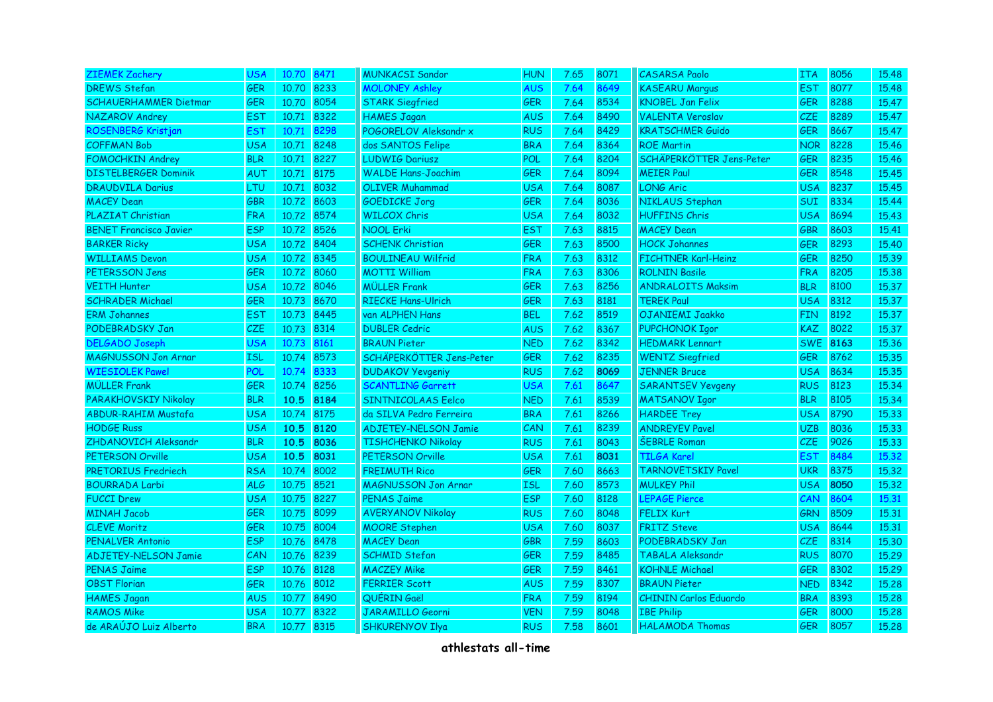| <b>ZIEMEK Zachery</b>         | <b>USA</b> | 10.70 8471 |      | <b>MUNKACSI Sandor</b>      | <b>HUN</b> | 7.65 | 8071 | <b>CASARSA Paolo</b>         | <b>ITA</b> | 8056 | 15.48 |
|-------------------------------|------------|------------|------|-----------------------------|------------|------|------|------------------------------|------------|------|-------|
| <b>DREWS Stefan</b>           | <b>GER</b> | 10.70 8233 |      | <b>MOLONEY Ashley</b>       | <b>AUS</b> | 7.64 | 8649 | <b>KASEARU Marqus</b>        | <b>EST</b> | 8077 | 15.48 |
| <b>SCHAUERHAMMER Dietmar</b>  | <b>GER</b> | 10.70 8054 |      | <b>STARK Siegfried</b>      | <b>GER</b> | 7.64 | 8534 | <b>KNOBEL Jan Felix</b>      | <b>GER</b> | 8288 | 15.47 |
| NAZAROV Andrey                | <b>EST</b> | 10.71 8322 |      | <b>HAMES Jagan</b>          | <b>AUS</b> | 7.64 | 8490 | <b>VALENTA Veroslav</b>      | CZE.       | 8289 | 15.47 |
| ROSENBERG Kristjan            | <b>EST</b> | 10.71      | 8298 | POGORELOV Aleksandr x       | <b>RUS</b> | 7.64 | 8429 | <b>KRATSCHMER Guido</b>      | <b>GER</b> | 8667 | 15.47 |
| <b>COFFMAN Bob</b>            | <b>USA</b> | 10.71      | 8248 | dos SANTOS Felipe           | <b>BRA</b> | 7.64 | 8364 | <b>ROE Martin</b>            | <b>NOR</b> | 8228 | 15.46 |
| <b>FOMOCHKIN Andrey</b>       | <b>BLR</b> | 10.71      | 8227 | <b>LUDWIG Dariusz</b>       | POL        | 7.64 | 8204 | SCHÄPERKÖTTER Jens-Peter     | <b>GER</b> | 8235 | 15.46 |
| <b>DISTELBERGER Dominik</b>   | AUT        | 10.71 8175 |      | <b>WALDE Hans-Joachim</b>   | <b>GER</b> | 7.64 | 8094 | <b>MEIER Paul</b>            | <b>GER</b> | 8548 | 15.45 |
| <b>DRAUDVILA Darius</b>       | LTU        | 10.71 8032 |      | <b>OLIVER Muhammad</b>      | <b>USA</b> | 7.64 | 8087 | <b>LONG Aric</b>             | <b>USA</b> | 8237 | 15.45 |
| <b>MACEY Dean</b>             | <b>GBR</b> | 10.72 8603 |      | <b>GOEDICKE Jorg</b>        | <b>GER</b> | 7.64 | 8036 | NIKLAUS Stephan              | SUI        | 8334 | 15.44 |
| PLAZIAT Christian             | <b>FRA</b> | 10.72 8574 |      | <b>WILCOX Chris</b>         | <b>USA</b> | 7.64 | 8032 | <b>HUFFINS Chris</b>         | <b>USA</b> | 8694 | 15.43 |
| <b>BENET Francisco Javier</b> | <b>ESP</b> | 10.72 8526 |      | <b>NOOL Erki</b>            | <b>EST</b> | 7.63 | 8815 | <b>MACEY Dean</b>            | <b>GBR</b> | 8603 | 15.41 |
| <b>BARKER Ricky</b>           | <b>USA</b> | 10.72 8404 |      | <b>SCHENK Christian</b>     | <b>GER</b> | 7.63 | 8500 | <b>HOCK Johannes</b>         | <b>GER</b> | 8293 | 15.40 |
| <b>WILLIAMS Devon</b>         | <b>USA</b> | 10.72 8345 |      | <b>BOULINEAU Wilfrid</b>    | <b>FRA</b> | 7.63 | 8312 | <b>FICHTNER Karl-Heinz</b>   | <b>GER</b> | 8250 | 15.39 |
| PETERSSON Jens                | <b>GER</b> | 10.72 8060 |      | <b>MOTTI William</b>        | <b>FRA</b> | 7.63 | 8306 | <b>ROLNIN Basile</b>         | <b>FRA</b> | 8205 | 15,38 |
| <b>VEITH Hunter</b>           | <b>USA</b> | 10.72 8046 |      | <b>MÜLLER Frank</b>         | <b>GER</b> | 7.63 | 8256 | <b>ANDRALOITS Maksim</b>     | <b>BLR</b> | 8100 | 15.37 |
| <b>SCHRADER Michael</b>       | <b>GER</b> | 10.73 8670 |      | <b>RIECKE Hans-Ulrich</b>   | <b>GER</b> | 7.63 | 8181 | <b>TEREK Paul</b>            | <b>USA</b> | 8312 | 15.37 |
| <b>ERM Johannes</b>           | <b>EST</b> | 10.73 8445 |      | van ALPHEN Hans             | <b>BEL</b> | 7.62 | 8519 | OJANIEMI Jaakko              | <b>FIN</b> | 8192 | 15.37 |
| PODEBRADSKY Jan               | CZE        | 10.73 8314 |      | <b>DUBLER Cedric</b>        | <b>AUS</b> | 7.62 | 8367 | <b>PUPCHONOK Igor</b>        | <b>KAZ</b> | 8022 | 15.37 |
| <b>DELGADO Joseph</b>         | <b>USA</b> | 10.73      | 8161 | <b>BRAUN Pieter</b>         | <b>NED</b> | 7.62 | 8342 | <b>HEDMARK Lennart</b>       | <b>SWE</b> | 8163 | 15.36 |
| <b>MAGNUSSON Jon Arnar</b>    | <b>ISL</b> | 10.74      | 8573 | SCHÄPERKÖTTER Jens-Peter    | <b>GER</b> | 7.62 | 8235 | <b>WENTZ Siegfried</b>       | <b>GER</b> | 8762 | 15.35 |
| <b>WIESIOLEK Pawel</b>        | <b>POL</b> | 10.74      | 8333 | <b>DUDAKOV Yevgeniy</b>     | <b>RUS</b> | 7.62 | 8069 | <b>JENNER Bruce</b>          | <b>USA</b> | 8634 | 15.35 |
| <b>MÜLLER Frank</b>           | GER        | 10.74      | 8256 | <b>SCANTLING Garrett</b>    | <b>USA</b> | 7.61 | 8647 | <b>SARANTSEV Yevgeny</b>     | <b>RUS</b> | 8123 | 15.34 |
| PARAKHOVSKIY Nikolay          | <b>BLR</b> | 10.5       | 8184 | <b>SINTNICOLAAS Eelco</b>   | <b>NED</b> | 7.61 | 8539 | <b>MATSANOV Igor</b>         | <b>BLR</b> | 8105 | 15.34 |
| <b>ABDUR-RAHIM Mustafa</b>    | <b>USA</b> | 10.74 8175 |      | da SILVA Pedro Ferreira     | <b>BRA</b> | 7.61 | 8266 | <b>HARDEE Trey</b>           | <b>USA</b> | 8790 | 15.33 |
| <b>HODGE Russ</b>             | <b>USA</b> | 10.5       | 8120 | <b>ADJETEY-NELSON Jamie</b> | CAN        | 7.61 | 8239 | <b>ANDREYEV Pavel</b>        | <b>UZB</b> | 8036 | 15.33 |
| ZHDANOVICH Aleksandr          | <b>BLR</b> | 10.5       | 8036 | <b>TISHCHENKO Nikolay</b>   | <b>RUS</b> | 7.61 | 8043 | <b>ŠEBRLE Roman</b>          | CZE.       | 9026 | 15,33 |
| PETERSON Orville              | <b>USA</b> | 10.5       | 8031 | <b>PETERSON Orville</b>     | <b>USA</b> | 7.61 | 8031 | <b>TILGA Karel</b>           | EST        | 8484 | 15.32 |
| PRETORIUS Fredriech           | <b>RSA</b> | 10.74 8002 |      | <b>FREIMUTH Rico</b>        | <b>GER</b> | 7.60 | 8663 | <b>TARNOVETSKIY Pavel</b>    | <b>UKR</b> | 8375 | 15,32 |
| <b>BOURRADA Larbi</b>         | <b>ALG</b> | 10.75 8521 |      | <b>MAGNUSSON Jon Arnar</b>  | <b>ISL</b> | 7.60 | 8573 | <b>MULKEY Phil</b>           | <b>USA</b> | 8050 | 15.32 |
| <b>FUCCI Drew</b>             | <b>USA</b> | 10.75 8227 |      | <b>PENAS Jaime</b>          | <b>ESP</b> | 7.60 | 8128 | <b>LEPAGE Pierce</b>         | CAN        | 8604 | 15,31 |
| <b>MINAH Jacob</b>            | <b>GER</b> | 10.75 8099 |      | <b>AVERYANOV Nikolay</b>    | <b>RUS</b> | 7.60 | 8048 | <b>FELIX Kurt</b>            | <b>GRN</b> | 8509 | 15.31 |
| <b>CLEVE Moritz</b>           | <b>GER</b> | 10.75 8004 |      | <b>MOORE Stephen</b>        | <b>USA</b> | 7.60 | 8037 | <b>FRITZ Steve</b>           | <b>USA</b> | 8644 | 15.31 |
| <b>PENALVER Antonio</b>       | <b>ESP</b> | 10.76 8478 |      | <b>MACEY Dean</b>           | <b>GBR</b> | 7.59 | 8603 | PODEBRADSKY Jan              | <b>CZE</b> | 8314 | 15.30 |
| <b>ADJETEY-NELSON Jamie</b>   | CAN        | 10.76 8239 |      | <b>SCHMID Stefan</b>        | <b>GER</b> | 7.59 | 8485 | <b>TABALA Aleksandr</b>      | <b>RUS</b> | 8070 | 15.29 |
| <b>PENAS Jaime</b>            | <b>ESP</b> | 10.76 8128 |      | <b>MACZEY Mike</b>          | <b>GER</b> | 7.59 | 8461 | <b>KOHNLE Michael</b>        | <b>GER</b> | 8302 | 15.29 |
| <b>OBST Florian</b>           | GER        | 10.76 8012 |      | <b>FERRIER Scott</b>        | <b>AUS</b> | 7.59 | 8307 | <b>BRAUN Pieter</b>          | <b>NED</b> | 8342 | 15.28 |
| <b>HAMES Jagan</b>            | <b>AUS</b> | 10.77      | 8490 | QUÉRIN Gaël                 | <b>FRA</b> | 7.59 | 8194 | <b>CHININ Carlos Eduardo</b> | <b>BRA</b> | 8393 | 15.28 |
| <b>RAMOS Mike</b>             | <b>USA</b> | 10.77      | 8322 | <b>JARAMILLO Georni</b>     | <b>VEN</b> | 7.59 | 8048 | <b>IBE Philip</b>            | <b>GER</b> | 8000 | 15.28 |
| de ARAÚJO Luiz Alberto        | <b>BRA</b> | 10.77 8315 |      | <b>SHKURENYOV Ilya</b>      | <b>RUS</b> | 7.58 | 8601 | <b>HALAMODA Thomas</b>       | <b>GER</b> | 8057 | 15.28 |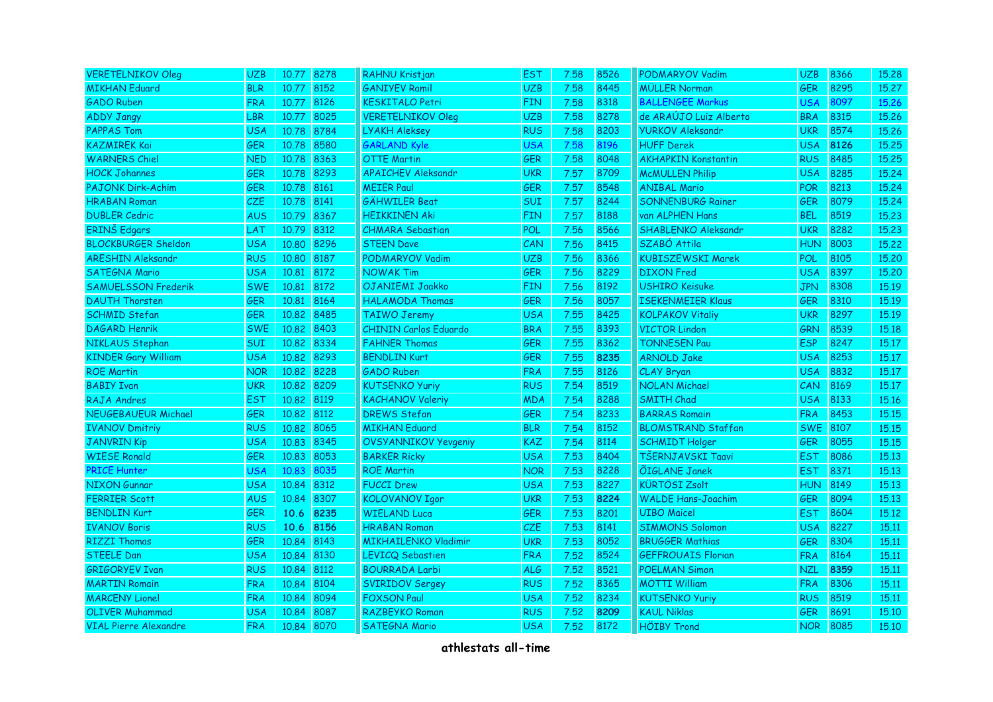| <b>VERETELNIKOV Oleg</b>     | <b>UZB</b> | 10.77 8278 |      | RAHNU Kristjan               | <b>EST</b> | 7.58 | 8526 | <b>PODMARYOV Vadim</b>     | <b>UZB</b> | 8366 | 15,28 |
|------------------------------|------------|------------|------|------------------------------|------------|------|------|----------------------------|------------|------|-------|
| <b>MIKHAN Eduard</b>         | <b>BLR</b> | 10.77      | 8152 | <b>GANIYEV Ramil</b>         | <b>UZB</b> | 7.58 | 8445 | <b>MÜLLER Norman</b>       | GER        | 8295 | 15.27 |
| <b>GADO Ruben</b>            | <b>FRA</b> | 10.77 8126 |      | <b>KESKITALO Petri</b>       | <b>FIN</b> | 7.58 | 8318 | <b>BALLENGEE Markus</b>    | <b>USA</b> | 8097 | 15.26 |
| <b>ADDY Jangy</b>            | <b>LBR</b> | 10.77 8025 |      | <b>VERETELNIKOV Oleg</b>     | <b>UZB</b> | 7.58 | 8278 | de ARAÚJO Luiz Alberto     | <b>BRA</b> | 8315 | 15.26 |
| <b>PAPPAS Tom</b>            | <b>USA</b> | 10.78 8784 |      | <b>LYAKH Aleksey</b>         | <b>RUS</b> | 7.58 | 8203 | <b>YURKOV Aleksandr</b>    | <b>UKR</b> | 8574 | 15.26 |
| <b>KAZMIREK Kai</b>          | <b>GER</b> | 10.78 8580 |      | <b>GARLAND Kyle</b>          | <b>USA</b> | 7.58 | 8196 | <b>HUFF Derek</b>          | <b>USA</b> | 8126 | 15.25 |
| <b>WARNERS Chiel</b>         | <b>NED</b> | 10.78 8363 |      | <b>OTTE Martin</b>           | <b>GER</b> | 7.58 | 8048 | <b>AKHAPKIN Konstantin</b> | <b>RUS</b> | 8485 | 15.25 |
| <b>HOCK Johannes</b>         | <b>GER</b> | 10.78 8293 |      | <b>APAICHEV Aleksandr</b>    | <b>UKR</b> | 7.57 | 8709 | <b>McMULLEN Philip</b>     | <b>USA</b> | 8285 | 15.24 |
| <b>PAJONK Dirk-Achim</b>     | <b>GER</b> | 10.78 8161 |      | <b>MEIER Paul</b>            | <b>GER</b> | 7.57 | 8548 | <b>ANIBAL Mario</b>        | <b>POR</b> | 8213 | 15.24 |
| <b>HRABAN Roman</b>          | <b>CZE</b> | 10.78 8141 |      | <b>GÄHWILER Beat</b>         | SUI        | 7.57 | 8244 | <b>SONNENBURG Rainer</b>   | <b>GER</b> | 8079 | 15.24 |
| <b>DUBLER Cedric</b>         | <b>AUS</b> | 10.79 8367 |      | <b>HEIKKINEN Aki</b>         | <b>FIN</b> | 7.57 | 8188 | van ALPHEN Hans            | <b>BEL</b> | 8519 | 15.23 |
| ERINŠ Edgars                 | LAT        | 10.79 8312 |      | <b>CHMARA Sebastian</b>      | <b>POL</b> | 7.56 | 8566 | SHABLENKO Aleksandr        | <b>UKR</b> | 8282 | 15.23 |
| <b>BLOCKBURGER Sheldon</b>   | <b>USA</b> | 10.80 8296 |      | <b>STEEN Dave</b>            | CAN        | 7.56 | 8415 | SZABÓ Attila               | <b>HUN</b> | 8003 | 15,22 |
| <b>ARESHIN Aleksandr</b>     | <b>RUS</b> | 10.80 8187 |      | PODMARYOV Vadim              | <b>UZB</b> | 7.56 | 8366 | <b>KUBISZEWSKI Marek</b>   | POL        | 8105 | 15.20 |
| <b>SATEGNA Mario</b>         | <b>USA</b> | 10.81      | 8172 | <b>NOWAK Tim</b>             | <b>GER</b> | 7.56 | 8229 | <b>DIXON</b> Fred          | <b>USA</b> | 8397 | 15,20 |
| <b>SAMUELSSON Frederik</b>   | <b>SWE</b> | 10.81 8172 |      | OJANIEMI Jaakko              | <b>FIN</b> | 7.56 | 8192 | <b>USHIRO Keisuke</b>      | <b>JPN</b> | 8308 | 15.19 |
| <b>DAUTH Thorsten</b>        | <b>GER</b> | 10.81 8164 |      | <b>HALAMODA Thomas</b>       | <b>GER</b> | 7.56 | 8057 | <b>ISEKENMEIER Klaus</b>   | <b>GER</b> | 8310 | 15.19 |
| <b>SCHMID Stefan</b>         | <b>GER</b> | 10.82 8485 |      | <b>TAIWO Jeremy</b>          | <b>USA</b> | 7.55 | 8425 | <b>KOLPAKOV Vitaliy</b>    | <b>UKR</b> | 8297 | 15.19 |
| <b>DAGARD Henrik</b>         | <b>SWE</b> | 10.82 8403 |      | <b>CHININ Carlos Eduardo</b> | <b>BRA</b> | 7.55 | 8393 | <b>VICTOR Lindon</b>       | <b>GRN</b> | 8539 | 15,18 |
| NIKLAUS Stephan              | <b>SUI</b> | 10.82 8334 |      | <b>FAHNER Thomas</b>         | <b>GER</b> | 7.55 | 8362 | <b>TONNESEN Pau</b>        | <b>ESP</b> | 8247 | 15.17 |
| <b>KINDER Gary William</b>   | <b>USA</b> | 10.82 8293 |      | <b>BENDLIN Kurt</b>          | <b>GER</b> | 7.55 | 8235 | <b>ARNOLD Jake</b>         | <b>USA</b> | 8253 | 15.17 |
| <b>ROE Martin</b>            | <b>NOR</b> | 10.82 8228 |      | <b>GADO Ruben</b>            | <b>FRA</b> | 7.55 | 8126 | CLAY Bryan                 | <b>USA</b> | 8832 | 15.17 |
| <b>BABIY Ivan</b>            | <b>UKR</b> | 10.82 8209 |      | <b>KUTSENKO Yuriy</b>        | <b>RUS</b> | 7.54 | 8519 | <b>NOLAN Michael</b>       | <b>CAN</b> | 8169 | 15.17 |
| <b>RAJA Andres</b>           | <b>EST</b> | 10.82 8119 |      | <b>KACHANOV Valeriy</b>      | <b>MDA</b> | 7.54 | 8288 | <b>SMITH Chad</b>          | <b>USA</b> | 8133 | 15,16 |
| <b>NEUGEBAUEUR Michael</b>   | <b>GER</b> | 10.82 8112 |      | <b>DREWS Stefan</b>          | <b>GER</b> | 7.54 | 8233 | <b>BARRAS Romain</b>       | <b>FRA</b> | 8453 | 15.15 |
| <b>IVANOV Dmitriy</b>        | <b>RUS</b> | 10.82 8065 |      | <b>MIKHAN Eduard</b>         | <b>BLR</b> | 7.54 | 8152 | <b>BLOMSTRAND Staffan</b>  | <b>SWE</b> | 8107 | 15,15 |
| <b>JANVRIN Kip</b>           | <b>USA</b> | 10.83 8345 |      | OVSYANNIKOV Yevgeniy         | <b>KAZ</b> | 7.54 | 8114 | <b>SCHMIDT Holger</b>      | <b>GER</b> | 8055 | 15,15 |
| <b>WIESE Ronald</b>          | <b>GER</b> | 10.83 8053 |      | <b>BARKER Ricky</b>          | <b>USA</b> | 7.53 | 8404 | TŠERNJAVSKI Taavi          | <b>EST</b> | 8086 | 15,13 |
| <b>PRICE Hunter</b>          | <b>USA</b> | 10.83      | 8035 | <b>ROE Martin</b>            | <b>NOR</b> | 7.53 | 8228 | <b>ÕIGLANE Janek</b>       | <b>EST</b> | 8371 | 15.13 |
| <b>NIXON Gunnar</b>          | <b>USA</b> | 10.84      | 8312 | <b>FUCCI Drew</b>            | <b>USA</b> | 7.53 | 8227 | <b>KÜRTÖSI Zsolt</b>       | <b>HUN</b> | 8149 | 15.13 |
| <b>FERRIER Scott</b>         | <b>AUS</b> | 10.84      | 8307 | <b>KOLOVANOV Igor</b>        | <b>UKR</b> | 7.53 | 8224 | <b>WALDE Hans-Joachim</b>  | <b>GER</b> | 8094 | 15,13 |
| <b>BENDLIN Kurt</b>          | <b>GER</b> | 10.6       | 8235 | <b>WIELAND Luca</b>          | <b>GER</b> | 7.53 | 8201 | <b>UIBO Maicel</b>         | <b>EST</b> | 8604 | 15.12 |
| <b>IVANOV Boris</b>          | <b>RUS</b> | 10.6 8156  |      | <b>HRABAN Roman</b>          | CZE        | 7.53 | 8141 | <b>SIMMONS Solomon</b>     | <b>USA</b> | 8227 | 15.11 |
| <b>RIZZI Thomas</b>          | <b>GER</b> | 10.84 8143 |      | <b>MIKHAILENKO Vladimir</b>  | <b>UKR</b> | 7.53 | 8052 | <b>BRUGGER Mathias</b>     | <b>GER</b> | 8304 | 15.11 |
| <b>STEELE Dan</b>            | <b>USA</b> | 10.84 8130 |      | <b>LEVICQ Sebastien</b>      | <b>FRA</b> | 7.52 | 8524 | <b>GEFFROUAIS Florian</b>  | <b>FRA</b> | 8164 | 15,11 |
| <b>GRIGORYEV Ivan</b>        | <b>RUS</b> | 10.84 8112 |      | <b>BOURRADA Larbi</b>        | <b>ALG</b> | 7.52 | 8521 | <b>POELMAN Simon</b>       | <b>NZL</b> | 8359 | 15.11 |
| <b>MARTIN Romain</b>         | <b>FRA</b> | 10.84 8104 |      | <b>SVIRIDOV Sergey</b>       | <b>RUS</b> | 7.52 | 8365 | <b>MOTTI William</b>       | <b>FRA</b> | 8306 | 15.11 |
| <b>MARCENY Lionel</b>        | <b>FRA</b> | 10.84 8094 |      | <b>FOXSON Paul</b>           | <b>USA</b> | 7.52 | 8234 | <b>KUTSENKO Yuriy</b>      | <b>RUS</b> | 8519 | 15.11 |
| <b>OLIVER Muhammad</b>       | <b>USA</b> | 10.84 8087 |      | <b>RAZBEYKO Roman</b>        | <b>RUS</b> | 7.52 | 8209 | <b>KAUL Niklas</b>         | <b>GER</b> | 8691 | 15,10 |
| <b>VIAL Pierre Alexandre</b> | <b>FRA</b> | 10.84 8070 |      | <b>SATEGNA Mario</b>         | <b>USA</b> | 7.52 | 8172 | <b>HÖIBY Trond</b>         | <b>NOR</b> | 8085 | 15.10 |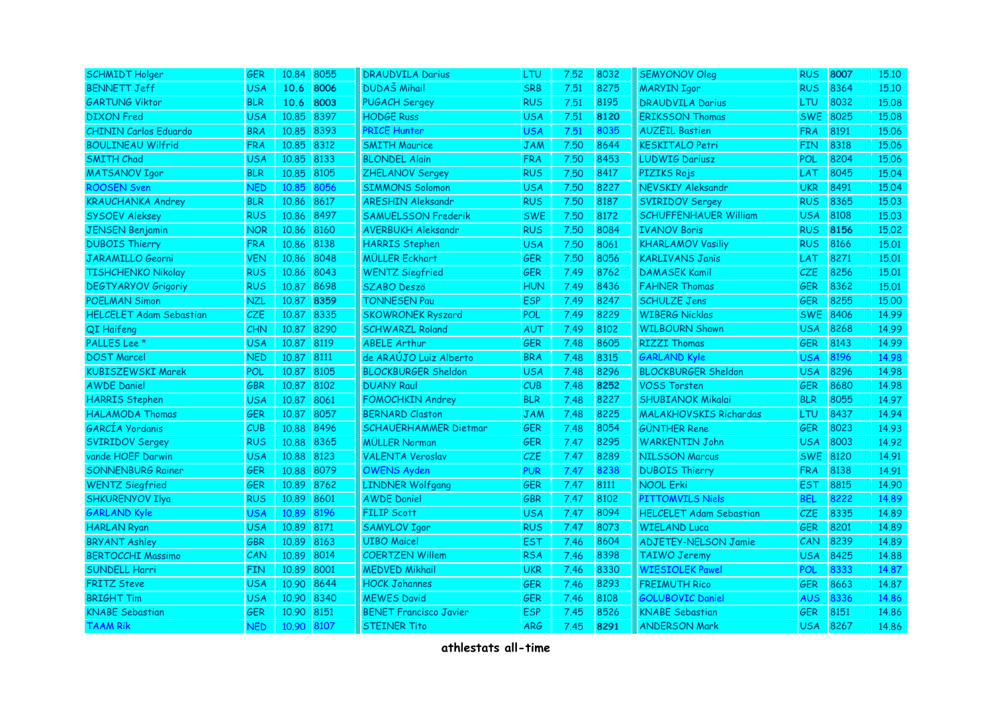| <b>SCHMIDT Holger</b>          | <b>GER</b> | 10.84 8055 |      | <b>DRAUDVILA Darius</b>       | LTU        | 7.52 | 8032 | <b>SEMYONOV Oleg</b>           | <b>RUS</b> | 8007 | 15,10 |
|--------------------------------|------------|------------|------|-------------------------------|------------|------|------|--------------------------------|------------|------|-------|
| <b>BENNETT Jeff</b>            | <b>USA</b> | 10.6       | 8006 | <b>DUDAŠ Mihail</b>           | <b>SRB</b> | 7.51 | 8275 | <b>MARYIN Igor</b>             | <b>RUS</b> | 8364 | 15.10 |
| <b>GARTUNG Viktor</b>          | <b>BLR</b> | 10.6       | 8003 | <b>PUGACH Sergey</b>          | <b>RUS</b> | 7.51 | 8195 | <b>DRAUDVILA Darius</b>        | LTU        | 8032 | 15.08 |
| <b>DIXON</b> Fred              | <b>USA</b> | 10.85      | 8397 | <b>HODGE Russ</b>             | <b>USA</b> | 7.51 | 8120 | <b>ERIKSSON Thomas</b>         | <b>SWE</b> | 8025 | 15.08 |
| <b>CHININ Carlos Eduardo</b>   | <b>BRA</b> | 10.85      | 8393 | <b>PRICE Hunter</b>           | <b>USA</b> | 7.51 | 8035 | <b>AUZEIL Bastien</b>          | <b>FRA</b> | 8191 | 15.06 |
| <b>BOULINEAU Wilfrid</b>       | <b>FRA</b> | 10.85      | 8312 | <b>SMITH Maurice</b>          | <b>JAM</b> | 7.50 | 8644 | <b>KESKITALO Petri</b>         | <b>FIN</b> | 8318 | 15.06 |
| <b>SMITH Chad</b>              | <b>USA</b> | 10.85      | 8133 | <b>BLONDEL Alain</b>          | <b>FRA</b> | 7.50 | 8453 | <b>LUDWIG Dariusz</b>          | <b>POL</b> | 8204 | 15.06 |
| <b>MATSANOV Igor</b>           | <b>BLR</b> | 10.85      | 8105 | ZHELANOV Sergey               | <b>RUS</b> | 7.50 | 8417 | PIZIKS Rojs                    | LAT        | 8045 | 15.04 |
| <b>ROOSEN Sven</b>             | <b>NED</b> | 10.85      | 8056 | <b>SIMMONS Solomon</b>        | <b>USA</b> | 7.50 | 8227 | NEVSKIY Aleksandr              | <b>UKR</b> | 8491 | 15.04 |
| <b>KRAUCHANKA Andrey</b>       | <b>BLR</b> | 10.86      | 8617 | <b>ARESHIN Aleksandr</b>      | <b>RUS</b> | 7.50 | 8187 | <b>SVIRIDOV Sergey</b>         | <b>RUS</b> | 8365 | 15.03 |
| <b>SYSOEV Aleksey</b>          | <b>RUS</b> | 10.86      | 8497 | <b>SAMUELSSON Frederik</b>    | <b>SWE</b> | 7.50 | 8172 | <b>SCHUFFENHAUER William</b>   | <b>USA</b> | 8108 | 15.03 |
| <b>JENSEN Benjamin</b>         | <b>NOR</b> | 10.86 8160 |      | <b>AVERBUKH Aleksandr</b>     | <b>RUS</b> | 7.50 | 8084 | <b>IVANOV Boris</b>            | <b>RUS</b> | 8156 | 15.02 |
| <b>DUBOIS Thierry</b>          | <b>FRA</b> | 10.86      | 8138 | <b>HARRIS Stephen</b>         | <b>USA</b> | 7.50 | 8061 | <b>KHARLAMOV Vasiliy</b>       | <b>RUS</b> | 8166 | 15.01 |
| JARAMILLO Georni               | <b>VEN</b> | 10.86      | 8048 | <b>MÜLLER Eckhart</b>         | <b>GER</b> | 7.50 | 8056 | <b>KARLIVANS Janis</b>         | LAT        | 8271 | 15.01 |
| <b>TISHCHENKO Nikolay</b>      | <b>RUS</b> | 10.86      | 8043 | <b>WENTZ Siegfried</b>        | <b>GER</b> | 7.49 | 8762 | <b>DAMASEK Kamil</b>           | CZE.       | 8256 | 15.01 |
| <b>DEGTYARYOV Grigoriy</b>     | <b>RUS</b> | 10.87 8698 |      | <b>SZABO Deszö</b>            | <b>HUN</b> | 7.49 | 8436 | <b>FAHNER Thomas</b>           | <b>GER</b> | 8362 | 15.01 |
| <b>POELMAN Simon</b>           | <b>NZL</b> | 10.87      | 8359 | <b>TONNESEN Pau</b>           | <b>ESP</b> | 7.49 | 8247 | <b>SCHULZE Jens</b>            | <b>GER</b> | 8255 | 15.00 |
| <b>HELCELET Adam Sebastian</b> | CZE        | 10.87      | 8335 | <b>SKOWRONEK Ryszard</b>      | POL        | 7.49 | 8229 | <b>WIBERG Nicklas</b>          | <b>SWE</b> | 8406 | 14.99 |
| QI Haifeng                     | <b>CHN</b> | 10.87      | 8290 | <b>SCHWARZL Roland</b>        | AUT        | 7.49 | 8102 | <b>WILBOURN Shawn</b>          | <b>USA</b> | 8268 | 14.99 |
| PALLES Lee *                   | <b>USA</b> | 10.87      | 8119 | <b>ABELE Arthur</b>           | <b>GER</b> | 7.48 | 8605 | <b>RIZZI Thomas</b>            | <b>GER</b> | 8143 | 14.99 |
| <b>DOST Marcel</b>             | <b>NED</b> | 10.87      | 8111 | de ARAÚJO Luiz Alberto        | <b>BRA</b> | 7.48 | 8315 | <b>GARLAND Kyle</b>            | <b>USA</b> | 8196 | 14.98 |
| <b>KUBISZEWSKI Marek</b>       | POL        | 10.87      | 8105 | <b>BLOCKBURGER Sheldon</b>    | <b>USA</b> | 7.48 | 8296 | <b>BLOCKBURGER Sheldon</b>     | USA        | 8296 | 14.98 |
| <b>AWDE Daniel</b>             | GBR        | 10.87      | 8102 | <b>DUANY Raul</b>             | CUB        | 7.48 | 8252 | <b>VOSS Torsten</b>            | <b>GER</b> | 8680 | 14.98 |
| <b>HARRIS Stephen</b>          | <b>USA</b> | 10.87      | 8061 | <b>FOMOCHKIN Andrey</b>       | <b>BLR</b> | 7.48 | 8227 | <b>SHUBIANOK Mikalai</b>       | <b>BLR</b> | 8055 | 14.97 |
| <b>HALAMODA Thomas</b>         | GER        | 10.87      | 8057 | <b>BERNARD Claston</b>        | <b>JAM</b> | 7.48 | 8225 | <b>MALAKHOVSKIS Richardas</b>  | <b>LTU</b> | 8437 | 14.94 |
| GARCÍA Yordanis                | CUB        | 10.88      | 8496 | <b>SCHAUERHAMMER Dietmar</b>  | <b>GER</b> | 7.48 | 8054 | <b>GÜNTHER Rene</b>            | <b>GER</b> | 8023 | 14.93 |
| <b>SVIRIDOV Sergey</b>         | <b>RUS</b> | 10.88 8365 |      | <b>MÜLLER Norman</b>          | <b>GER</b> | 7.47 | 8295 | <b>WARKENTIN John</b>          | USA        | 8003 | 14.92 |
| vande HOEF Darwin              | <b>USA</b> | 10.88 8123 |      | <b>VALENTA Veroslav</b>       | <b>CZE</b> | 7.47 | 8289 | <b>NILSSON Marcus</b>          | <b>SWE</b> | 8120 | 14.91 |
| <b>SONNENBURG Rainer</b>       | GER        | 10.88 8079 |      | <b>OWENS Ayden</b>            | <b>PUR</b> | 7.47 | 8238 | <b>DUBOIS Thierry</b>          | <b>FRA</b> | 8138 | 14.91 |
| <b>WENTZ Siegfried</b>         | <b>GER</b> | 10.89 8762 |      | <b>LINDNER Wolfgang</b>       | <b>GER</b> | 7.47 | 8111 | <b>NOOL Erki</b>               | <b>EST</b> | 8815 | 14.90 |
| <b>SHKURENYOV Ilya</b>         | <b>RUS</b> | 10.89 8601 |      | <b>AWDE Daniel</b>            | <b>GBR</b> | 7.47 | 8102 | <b>PITTOMVILS Niels</b>        | BEL        | 8222 | 14.89 |
| <b>GARLAND Kyle</b>            | <b>USA</b> | 10.89      | 8196 | <b>FILIP Scott</b>            | <b>USA</b> | 7.47 | 8094 | <b>HELCELET Adam Sebastian</b> | <b>CZE</b> | 8335 | 14.89 |
| <b>HARLAN Ryan</b>             | <b>USA</b> | 10.89 8171 |      | <b>SAMYLOV Igor</b>           | <b>RUS</b> | 7.47 | 8073 | <b>WIELAND Luca</b>            | <b>GER</b> | 8201 | 14.89 |
| <b>BRYANT Ashley</b>           | <b>GBR</b> | 10.89      | 8163 | <b>UIBO Maicel</b>            | <b>EST</b> | 7.46 | 8604 | <b>ADJETEY-NELSON Jamie</b>    | CAN        | 8239 | 14.89 |
| <b>BERTOCCHI Massimo</b>       | CAN        | 10.89      | 8014 | <b>COERTZEN Willem</b>        | <b>RSA</b> | 7.46 | 8398 | <b>TAIWO Jeremy</b>            | <b>USA</b> | 8425 | 14,88 |
| <b>SUNDELL Harri</b>           | <b>FIN</b> | 10.89      | 8001 | <b>MEDVED Mikhail</b>         | <b>UKR</b> | 7.46 | 8330 | <b>WIESIOLEK Pawel</b>         | <b>POL</b> | 8333 | 14.87 |
| <b>FRITZ Steve</b>             | <b>USA</b> | 10.90 8644 |      | <b>HOCK Johannes</b>          | <b>GER</b> | 7.46 | 8293 | <b>FREIMUTH Rico</b>           | <b>GER</b> | 8663 | 14.87 |
| <b>BRIGHT Tim</b>              | <b>USA</b> | 10.90      | 8340 | <b>MEWES David</b>            | <b>GER</b> | 7.46 | 8108 | <b>GOLUBOVIC Daniel</b>        | <b>AUS</b> | 8336 | 14.86 |
| <b>KNABE Sebastian</b>         | <b>GER</b> | 10.90      | 8151 | <b>BENET Francisco Javier</b> | <b>ESP</b> | 7.45 | 8526 | <b>KNABE Sebastian</b>         | <b>GER</b> | 8151 | 14.86 |
| <b>TAAM Rik</b>                | <b>NED</b> | 10.90      | 8107 | <b>STEINER Tito</b>           | <b>ARG</b> | 7.45 | 8291 | <b>ANDERSON Mark</b>           | <b>USA</b> | 8267 | 14.86 |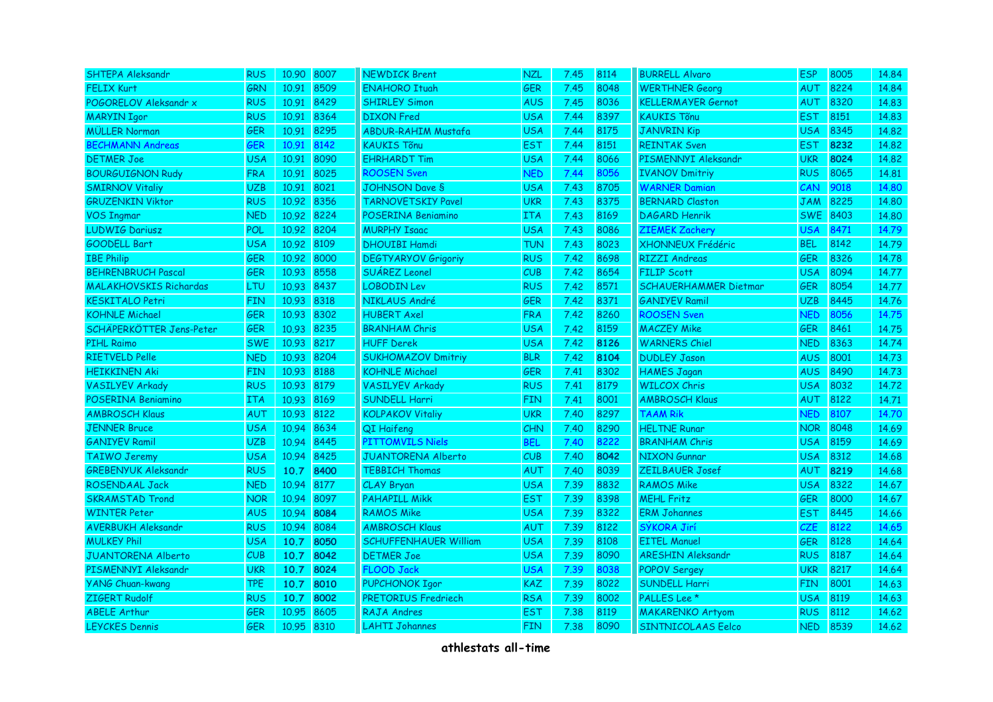| <b>SHTEPA Aleksandr</b>       | <b>RUS</b> | 10.90 8007 |      | <b>NEWDICK Brent</b>         | <b>NZL</b> | 7.45 | 8114 | <b>BURRELL Alvaro</b>        | <b>ESP</b> | 8005 | 14.84 |
|-------------------------------|------------|------------|------|------------------------------|------------|------|------|------------------------------|------------|------|-------|
| <b>FELIX Kurt</b>             | <b>GRN</b> | 10.91      | 8509 | <b>ENAHORO Ituah</b>         | <b>GER</b> | 7.45 | 8048 | <b>WERTHNER Georg</b>        | AUT        | 8224 | 14.84 |
| POGORELOV Aleksandr x         | <b>RUS</b> | 10.91      | 8429 | <b>SHIRLEY Simon</b>         | <b>AUS</b> | 7.45 | 8036 | <b>KELLERMAYER Gernot</b>    | <b>AUT</b> | 8320 | 14,83 |
| <b>MARYIN Igor</b>            | <b>RUS</b> | 10.91      | 8364 | <b>DIXON</b> Fred            | <b>USA</b> | 7.44 | 8397 | <b>KAUKIS Tõnu</b>           | <b>EST</b> | 8151 | 14.83 |
| <b>MÜLLER Norman</b>          | <b>GER</b> | 10.91      | 8295 | <b>ABDUR-RAHIM Mustafa</b>   | <b>USA</b> | 7.44 | 8175 | <b>JANVRIN Kip</b>           | <b>USA</b> | 8345 | 14.82 |
| <b>BECHMANN Andreas</b>       | <b>GER</b> | 10.91      | 8142 | <b>KAUKIS Tõnu</b>           | <b>EST</b> | 7.44 | 8151 | <b>REINTAK Sven</b>          | <b>EST</b> | 8232 | 14.82 |
| <b>DETMER Joe</b>             | <b>USA</b> | 10.91      | 8090 | <b>EHRHARDT Tim</b>          | <b>USA</b> | 7.44 | 8066 | PISMENNYI Aleksandr          | <b>UKR</b> | 8024 | 14.82 |
| <b>BOURGUIGNON Rudy</b>       | <b>FRA</b> | 10.91      | 8025 | <b>ROOSEN Sven</b>           | <b>NED</b> | 7.44 | 8056 | <b>IVANOV Dmitriy</b>        | <b>RUS</b> | 8065 | 14.81 |
| <b>SMIRNOV Vitaliy</b>        | <b>UZB</b> | 10.91      | 8021 | <b>JOHNSON Dave S</b>        | <b>USA</b> | 7.43 | 8705 | <b>WARNER Damian</b>         | CAN        | 9018 | 14.80 |
| <b>GRUZENKIN Viktor</b>       | <b>RUS</b> | 10.92 8356 |      | <b>TARNOVETSKIY Pavel</b>    | <b>UKR</b> | 7.43 | 8375 | <b>BERNARD Claston</b>       | JAM        | 8225 | 14.80 |
| <b>VOS Ingmar</b>             | <b>NED</b> | 10.92 8224 |      | POSERINA Beniamino           | ITA.       | 7.43 | 8169 | <b>DAGARD Henrik</b>         | <b>SWE</b> | 8403 | 14,80 |
| <b>LUDWIG Dariusz</b>         | POL        | 10.92 8204 |      | <b>MURPHY Isaac</b>          | <b>USA</b> | 7.43 | 8086 | <b>ZIEMEK Zachery</b>        | <b>USA</b> | 8471 | 14.79 |
| <b>GOODELL Bart</b>           | <b>USA</b> | 10.92 8109 |      | <b>DHOUIBI Hamdi</b>         | <b>TUN</b> | 7.43 | 8023 | <b>XHONNEUX Frédéric</b>     | <b>BEL</b> | 8142 | 14.79 |
| <b>IBE Philip</b>             | GER        | 10.92 8000 |      | <b>DEGTYARYOV Grigoriy</b>   | <b>RUS</b> | 7.42 | 8698 | <b>RIZZI Andreas</b>         | <b>GER</b> | 8326 | 14.78 |
| <b>BEHRENBRUCH Pascal</b>     | <b>GER</b> | 10.93 8558 |      | <b>SUAREZ Leonel</b>         | CUB        | 7.42 | 8654 | <b>FILIP Scott</b>           | <b>USA</b> | 8094 | 14,77 |
| <b>MALAKHOVSKIS Richardas</b> | <b>LTU</b> | 10.93 8437 |      | <b>LOBODIN Lev</b>           | <b>RUS</b> | 7.42 | 8571 | <b>SCHAUERHAMMER Dietmar</b> | <b>GER</b> | 8054 | 14.77 |
| <b>KESKITALO Petri</b>        | <b>FIN</b> | 10.93 8318 |      | NIKLAUS André                | <b>GER</b> | 7.42 | 8371 | <b>GANIYEV Ramil</b>         | <b>UZB</b> | 8445 | 14.76 |
| <b>KOHNLE Michael</b>         | <b>GER</b> | 10.93      | 8302 | <b>HUBERT Axel</b>           | <b>FRA</b> | 7.42 | 8260 | <b>ROOSEN Sven</b>           | <b>NED</b> | 8056 | 14.75 |
| SCHÄPERKÖTTER Jens-Peter      | <b>GER</b> | 10.93      | 8235 | <b>BRANHAM Chris</b>         | <b>USA</b> | 7.42 | 8159 | <b>MACZEY Mike</b>           | <b>GER</b> | 8461 | 14.75 |
| <b>PIHL Raimo</b>             | <b>SWE</b> | 10.93 8217 |      | <b>HUFF Derek</b>            | <b>USA</b> | 7.42 | 8126 | <b>WARNERS Chiel</b>         | <b>NED</b> | 8363 | 14.74 |
| <b>RIETVELD Pelle</b>         | <b>NED</b> | 10.93      | 8204 | <b>SUKHOMAZOV Dmitriy</b>    | <b>BLR</b> | 7.42 | 8104 | <b>DUDLEY Jason</b>          | <b>AUS</b> | 8001 | 14.73 |
| <b>HEIKKINEN Aki</b>          | <b>FIN</b> | 10.93      | 8188 | <b>KOHNLE Michael</b>        | <b>GER</b> | 7.41 | 8302 | <b>HAMES Jagan</b>           | <b>AUS</b> | 8490 | 14.73 |
| <b>VASILYEV Arkady</b>        | <b>RUS</b> | 10.93 8179 |      | <b>VASILYEV Arkady</b>       | <b>RUS</b> | 7.41 | 8179 | <b>WILCOX Chris</b>          | <b>USA</b> | 8032 | 14.72 |
| POSERINA Beniamino            | <b>ITA</b> | 10.93 8169 |      | <b>SUNDELL Harri</b>         | <b>FIN</b> | 7.41 | 8001 | <b>AMBROSCH Klaus</b>        | <b>AUT</b> | 8122 | 14.71 |
| <b>AMBROSCH Klaus</b>         | AUT        | 10.93      | 8122 | <b>KOLPAKOV Vitaliy</b>      | <b>UKR</b> | 7.40 | 8297 | <b>TAAM Rik</b>              | <b>NED</b> | 8107 | 14.70 |
| <b>JENNER Bruce</b>           | <b>USA</b> | 10.94      | 8634 | QI Haifeng                   | <b>CHN</b> | 7.40 | 8290 | <b>HELTNE Runar</b>          | <b>NOR</b> | 8048 | 14.69 |
| <b>GANIYEV Ramil</b>          | <b>UZB</b> | 10.94      | 8445 | <b>PITTOMVILS Niels</b>      | <b>BEL</b> | 7.40 | 8222 | <b>BRANHAM Chris</b>         | <b>USA</b> | 8159 | 14.69 |
| <b>TAIWO Jeremy</b>           | <b>USA</b> | 10.94      | 8425 | <b>JUANTORENA Alberto</b>    | CUB        | 7.40 | 8042 | <b>NIXON Gunnar</b>          | <b>USA</b> | 8312 | 14.68 |
| <b>GREBENYUK Aleksandr</b>    | <b>RUS</b> | 10.7       | 8400 | <b>TEBBICH Thomas</b>        | AUT        | 7.40 | 8039 | ZEILBAUER Josef              | <b>AUT</b> | 8219 | 14.68 |
| ROSENDAAL Jack                | <b>NED</b> | 10.94      | 8177 | CLAY Bryan                   | <b>USA</b> | 7.39 | 8832 | <b>RAMOS Mike</b>            | <b>USA</b> | 8322 | 14.67 |
| <b>SKRAMSTAD Trond</b>        | <b>NOR</b> | 10.94      | 8097 | <b>PAHAPILL Mikk</b>         | <b>EST</b> | 7.39 | 8398 | <b>MEHL Fritz</b>            | <b>GER</b> | 8000 | 14.67 |
| <b>WINTER Peter</b>           | <b>AUS</b> | 10.94 8084 |      | <b>RAMOS Mike</b>            | <b>USA</b> | 7.39 | 8322 | <b>ERM Johannes</b>          | <b>EST</b> | 8445 | 14.66 |
| <b>AVERBUKH Aleksandr</b>     | <b>RUS</b> | 10.94 8084 |      | <b>AMBROSCH Klaus</b>        | AUT        | 7.39 | 8122 | SÝKORA Jirí                  | <b>CZE</b> | 8122 | 14.65 |
| <b>MULKEY Phil</b>            | <b>USA</b> | 10.7       | 8050 | <b>SCHUFFENHAUER William</b> | <b>USA</b> | 7.39 | 8108 | <b>EITEL Manuel</b>          | <b>GER</b> | 8128 | 14.64 |
| <b>JUANTORENA Alberto</b>     | CUB        | 10.7       | 8042 | <b>DETMER Joe</b>            | <b>USA</b> | 7.39 | 8090 | <b>ARESHIN Aleksandr</b>     | <b>RUS</b> | 8187 | 14.64 |
| PISMENNYI Aleksandr           | <b>UKR</b> | 10.7       | 8024 | <b>FLOOD Jack</b>            | <b>USA</b> | 7.39 | 8038 | <b>POPOV Sergey</b>          | <b>UKR</b> | 8217 | 14.64 |
| <b>YANG Chuan-kwang</b>       | <b>TPE</b> | 10.7       | 8010 | <b>PUPCHONOK Igor</b>        | <b>KAZ</b> | 7.39 | 8022 | <b>SUNDELL Harri</b>         | <b>FIN</b> | 8001 | 14.63 |
| ZIGERT Rudolf                 | <b>RUS</b> | 10.7       | 8002 | <b>PRETORIUS Fredriech</b>   | <b>RSA</b> | 7.39 | 8002 | PALLES Lee <sup>*</sup>      | <b>USA</b> | 8119 | 14.63 |
| <b>ABELE Arthur</b>           | <b>GER</b> | 10.95      | 8605 | <b>RAJA Andres</b>           | <b>EST</b> | 7.38 | 8119 | <b>MAKARENKO</b> Artyom      | <b>RUS</b> | 8112 | 14.62 |
| <b>LEYCKES Dennis</b>         | <b>GER</b> | 10.95 8310 |      | <b>LAHTI Johannes</b>        | <b>FIN</b> | 7.38 | 8090 | SINTNICOLAAS Eelco           | <b>NED</b> | 8539 | 14.62 |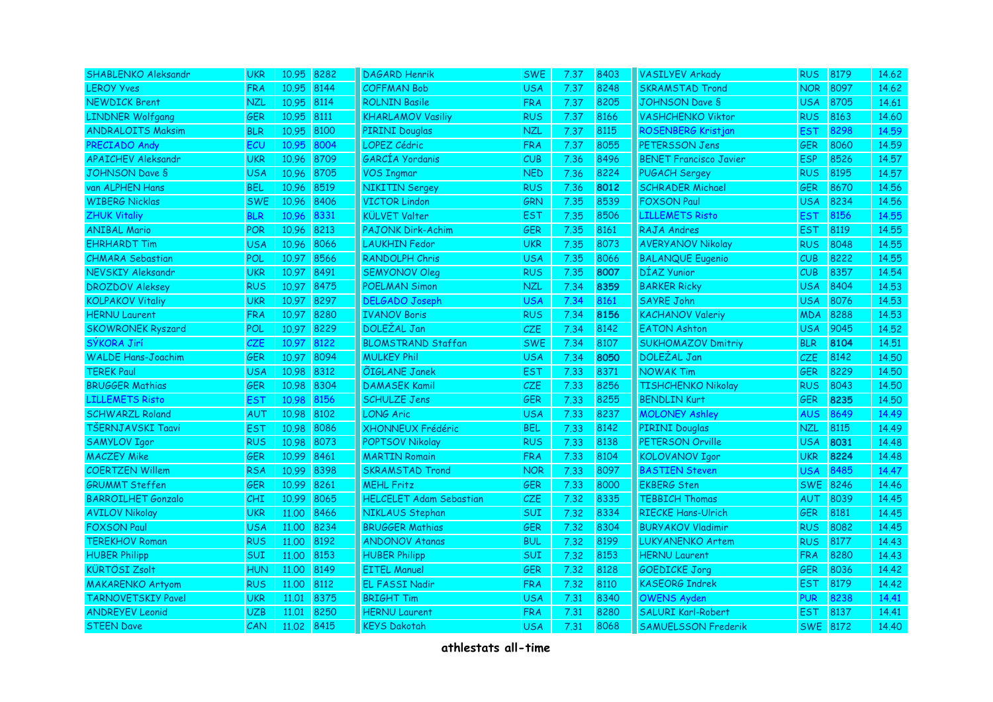| SHABLENKO Aleksandr       | <b>UKR</b>       | 10.95      | 8282 | <b>DAGARD Henrik</b>           | <b>SWE</b> | 7.37 | 8403 | <b>VASILYEV Arkady</b>        | <b>RUS</b>      | 8179 | 14.62 |
|---------------------------|------------------|------------|------|--------------------------------|------------|------|------|-------------------------------|-----------------|------|-------|
| <b>LEROY Yves</b>         | <b>FRA</b>       | 10.95      | 8144 | <b>COFFMAN Bob</b>             | <b>USA</b> | 7.37 | 8248 | <b>SKRAMSTAD Trond</b>        | <b>NOR</b>      | 8097 | 14.62 |
| <b>NEWDICK Brent</b>      | <b>NZL</b>       | 10.95 8114 |      | <b>ROLNIN Basile</b>           | <b>FRA</b> | 7.37 | 8205 | <b>JOHNSON Dave S</b>         | <b>USA</b>      | 8705 | 14.61 |
| <b>LINDNER Wolfgang</b>   | <b>GER</b>       | 10.95      | 8111 | <b>KHARLAMOV Vasiliy</b>       | <b>RUS</b> | 7.37 | 8166 | <b>VASHCHENKO Viktor</b>      | <b>RUS</b>      | 8163 | 14.60 |
| <b>ANDRALOITS Maksim</b>  | <b>BLR</b>       | 10.95      | 8100 | <b>PIRINI Douglas</b>          | <b>NZL</b> | 7.37 | 8115 | ROSENBERG Kristjan            | EST             | 8298 | 14.59 |
| PRECIADO Andy             | ECU              | 10.95      | 8004 | <b>LOPEZ Cédric</b>            | <b>FRA</b> | 7.37 | 8055 | PETERSSON Jens                | <b>GER</b>      | 8060 | 14.59 |
| <b>APAICHEV Aleksandr</b> | <b>UKR</b>       | 10.96 8709 |      | GARCÍA Yordanis                | CUB        | 7.36 | 8496 | <b>BENET Francisco Javier</b> | <b>ESP</b>      | 8526 | 14.57 |
| <b>JOHNSON Dave S</b>     | <b>USA</b>       | 10.96      | 8705 | <b>VOS Ingmar</b>              | <b>NED</b> | 7.36 | 8224 | <b>PUGACH Sergey</b>          | <b>RUS</b>      | 8195 | 14.57 |
| van ALPHEN Hans           | <b>BEL</b>       | 10.96      | 8519 | <b>NIKITIN Sergey</b>          | <b>RUS</b> | 7.36 | 8012 | <b>SCHRADER Michael</b>       | <b>GER</b>      | 8670 | 14.56 |
| <b>WIBERG Nicklas</b>     | <b>SWE</b>       | 10.96      | 8406 | <b>VICTOR Lindon</b>           | <b>GRN</b> | 7.35 | 8539 | <b>FOXSON Paul</b>            | <b>USA</b>      | 8234 | 14.56 |
| <b>ZHUK Vitaliy</b>       | <b>BLR</b>       | 10.96      | 8331 | <b>KÜLVET Valter</b>           | <b>EST</b> | 7.35 | 8506 | <b>LILLEMETS Risto</b>        | <b>EST</b>      | 8156 | 14.55 |
| <b>ANIBAL Mario</b>       | POR              | 10.96 8213 |      | <b>PAJONK Dirk-Achim</b>       | <b>GER</b> | 7.35 | 8161 | RAJA Andres                   | EST.            | 8119 | 14.55 |
| <b>EHRHARDT Tim</b>       | <b>USA</b>       | 10.96      | 8066 | <b>LAUKHIN Fedor</b>           | <b>UKR</b> | 7.35 | 8073 | <b>AVERYANOV Nikolay</b>      | <b>RUS</b>      | 8048 | 14.55 |
| <b>CHMARA Sebastian</b>   | POL              | 10.97      | 8566 | <b>RANDOLPH Chris</b>          | <b>USA</b> | 7.35 | 8066 | <b>BALANQUE Eugenio</b>       | CUB.            | 8222 | 14.55 |
| NEVSKIY Aleksandr         | <b>UKR</b>       | 10.97 8491 |      | <b>SEMYONOV Oleg</b>           | <b>RUS</b> | 7.35 | 8007 | DÍAZ Yunior                   | <b>CUB</b>      | 8357 | 14.54 |
| <b>DROZDOV Aleksey</b>    | <b>RUS</b>       | 10.97 8475 |      | <b>POELMAN Simon</b>           | <b>NZL</b> | 7.34 | 8359 | <b>BARKER Ricky</b>           | <b>USA</b>      | 8404 | 14.53 |
| <b>KOLPAKOV Vitaliy</b>   | <b>UKR</b>       | 10.97      | 8297 | <b>DELGADO Joseph</b>          | <b>USA</b> | 7.34 | 8161 | SAYRE John                    | <b>USA</b>      | 8076 | 14.53 |
| <b>HERNU Laurent</b>      | <b>FRA</b>       | 10.97      | 8280 | <b>IVANOV Boris</b>            | <b>RUS</b> | 7.34 | 8156 | <b>KACHANOV Valeriy</b>       | <b>MDA</b>      | 8288 | 14.53 |
| <b>SKOWRONEK Ryszard</b>  | POL              | 10.97      | 8229 | DOLEŽAL Jan                    | <b>CZE</b> | 7.34 | 8142 | <b>EATON Ashton</b>           | <b>USA</b>      | 9045 | 14.52 |
| SÝKORA Jirí               | CZE              | 10.97      | 8122 | <b>BLOMSTRAND Staffan</b>      | <b>SWE</b> | 7.34 | 8107 | <b>SUKHOMAZOV Dmitriy</b>     | <b>BLR</b>      | 8104 | 14.51 |
| <b>WALDE Hans-Joachim</b> | GER              | 10.97      | 8094 | <b>MULKEY Phil</b>             | <b>USA</b> | 7.34 | 8050 | DOLEŽAL Jan                   | <b>CZE</b>      | 8142 | 14.50 |
| <b>TEREK Paul</b>         | <b>USA</b>       | 10.98 8312 |      | <b>ÕIGLANE Janek</b>           | <b>EST</b> | 7.33 | 8371 | <b>NOWAK Tim</b>              | <b>GER</b>      | 8229 | 14.50 |
| <b>BRUGGER Mathias</b>    | GER              | 10.98 8304 |      | <b>DAMASEK Kamil</b>           | <b>CZE</b> | 7.33 | 8256 | <b>TISHCHENKO Nikolay</b>     | <b>RUS</b>      | 8043 | 14.50 |
| <b>LILLEMETS Risto</b>    | <b>EST</b>       | 10.98      | 8156 | <b>SCHULZE Jens</b>            | <b>GER</b> | 7.33 | 8255 | <b>BENDLIN Kurt</b>           | <b>GER</b>      | 8235 | 14.50 |
| <b>SCHWARZL Roland</b>    | AUT              | 10.98 8102 |      | <b>LONG Aric</b>               | <b>USA</b> | 7.33 | 8237 | <b>MOLONEY Ashley</b>         | <b>AUS</b>      | 8649 | 14.49 |
| TŠERNJAVSKI Taavi         | <b>EST</b>       | 10.98      | 8086 | XHONNEUX Frédéric              | <b>BEL</b> | 7.33 | 8142 | <b>PIRINI Douglas</b>         | <b>NZL</b>      | 8115 | 14.49 |
| <b>SAMYLOV Igor</b>       | <b>RUS</b>       | 10.98 8073 |      | <b>POPTSOV Nikolay</b>         | <b>RUS</b> | 7.33 | 8138 | PETERSON Orville              | USA             | 8031 | 14.48 |
| <b>MACZEY Mike</b>        | <b>GER</b>       | 10.99 8461 |      | <b>MARTIN Romain</b>           | <b>FRA</b> | 7.33 | 8104 | <b>KOLOVANOV Igor</b>         | <b>UKR</b>      | 8224 | 14.48 |
| <b>COERTZEN Willem</b>    | <b>RSA</b>       | 10.99 8398 |      | <b>SKRAMSTAD Trond</b>         | <b>NOR</b> | 7.33 | 8097 | <b>BASTIEN Steven</b>         | <b>USA</b>      | 8485 | 14.47 |
| <b>GRUMMT Steffen</b>     | <b>GER</b>       | 10.99 8261 |      | <b>MEHL Fritz</b>              | <b>GER</b> | 7.33 | 8000 | <b>EKBERG Sten</b>            | <b>SWE</b>      | 8246 | 14.46 |
| <b>BARROILHET Gonzalo</b> | CHI <sub>.</sub> | 10.99 8065 |      | <b>HELCELET Adam Sebastian</b> | <b>CZE</b> | 7.32 | 8335 | <b>TEBBICH Thomas</b>         | <b>AUT</b>      | 8039 | 14.45 |
| <b>AVILOV Nikolay</b>     | <b>UKR</b>       | 11.00 8466 |      | NIKLAUS Stephan                | <b>SUI</b> | 7.32 | 8334 | <b>RIECKE Hans-Ulrich</b>     | <b>GER</b>      | 8181 | 14.45 |
| <b>FOXSON Paul</b>        | <b>USA</b>       | 11.00 8234 |      | <b>BRUGGER Mathias</b>         | <b>GER</b> | 7.32 | 8304 | <b>BURYAKOV Vladimir</b>      | <b>RUS</b>      | 8082 | 14.45 |
| <b>TEREKHOV Roman</b>     | <b>RUS</b>       | 11.00      | 8192 | <b>ANDONOV Atanas</b>          | <b>BUL</b> | 7.32 | 8199 | <b>LUKYANENKO Artem</b>       | <b>RUS</b>      | 8177 | 14.43 |
| <b>HUBER Philipp</b>      | <b>SUI</b>       | 11.00      | 8153 | <b>HUBER Philipp</b>           | <b>SUI</b> | 7.32 | 8153 | <b>HERNU Laurent</b>          | <b>FRA</b>      | 8280 | 14.43 |
| <b>KÜRTÖSI Zsolt</b>      | <b>HUN</b>       | 11.00      | 8149 | <b>EITEL Manuel</b>            | <b>GER</b> | 7.32 | 8128 | <b>GOEDICKE Jorg</b>          | <b>GER</b>      | 8036 | 14.42 |
| <b>MAKARENKO Artyom</b>   | <b>RUS</b>       | 11.00      | 8112 | <b>EL FASSI Nadir</b>          | <b>FRA</b> | 7.32 | 8110 | <b>KASEORG Indrek</b>         | <b>EST</b>      | 8179 | 14.42 |
| <b>TARNOVETSKIY Pavel</b> | <b>UKR</b>       | 11.01      | 8375 | <b>BRIGHT Tim</b>              | <b>USA</b> | 7.31 | 8340 | <b>OWENS Ayden</b>            | <b>PUR</b>      | 8238 | 14.41 |
| <b>ANDREYEV Leonid</b>    | <b>UZB</b>       | 11.01      | 8250 | <b>HERNU Laurent</b>           | <b>FRA</b> | 7.31 | 8280 | <b>SALURI Karl-Robert</b>     | EST             | 8137 | 14.41 |
| <b>STEEN Dave</b>         | CAN              | 11.02 8415 |      | <b>KEYS Dakotah</b>            | <b>USA</b> | 7.31 | 8068 | <b>SAMUELSSON Frederik</b>    | <b>SWE 8172</b> |      | 14.40 |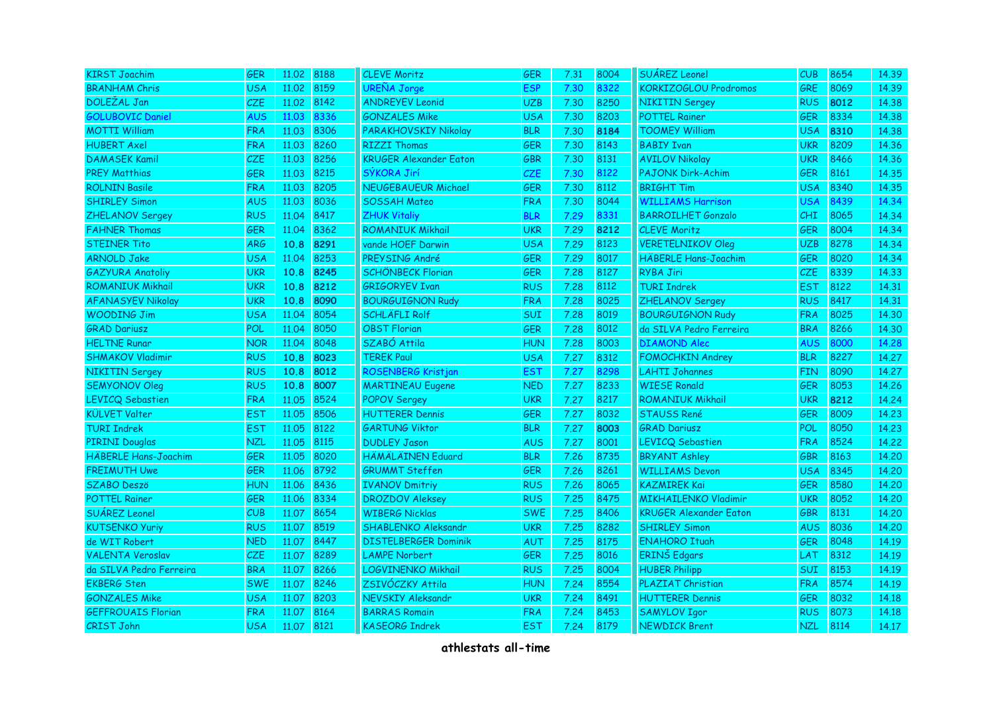| <b>KIRST Joachim</b>        | <b>GER</b> | 11,02 | 8188 | <b>CLEVE Moritz</b>           | <b>GER</b> | 7.31 | 8004 | <b>SUÁREZ Leonel</b>          | CUB        | 8654 | 14.39 |
|-----------------------------|------------|-------|------|-------------------------------|------------|------|------|-------------------------------|------------|------|-------|
| <b>BRANHAM Chris</b>        | <b>USA</b> | 11.02 | 8159 | <b>UREÑA Jorge</b>            | <b>ESP</b> | 7.30 | 8322 | KORKIZOGLOU Prodromos         | <b>GRE</b> | 8069 | 14.39 |
| DOLEZAL Jan                 | <b>CZE</b> | 11.02 | 8142 | <b>ANDREYEV Leonid</b>        | <b>UZB</b> | 7.30 | 8250 | <b>NIKITIN Sergey</b>         | <b>RUS</b> | 8012 | 14.38 |
| <b>GOLUBOVIC Daniel</b>     | <b>AUS</b> | 11.03 | 8336 | <b>GONZALES Mike</b>          | <b>USA</b> | 7.30 | 8203 | <b>POTTEL Rainer</b>          | <b>GER</b> | 8334 | 14.38 |
| <b>MOTTI William</b>        | <b>FRA</b> | 11.03 | 8306 | <b>PARAKHOVSKIY Nikolay</b>   | <b>BLR</b> | 7.30 | 8184 | <b>TOOMEY William</b>         | <b>USA</b> | 8310 | 14.38 |
| <b>HUBERT Axel</b>          | <b>FRA</b> | 11.03 | 8260 | <b>RIZZI Thomas</b>           | <b>GER</b> | 7.30 | 8143 | <b>BABIY Ivan</b>             | <b>UKR</b> | 8209 | 14.36 |
| <b>DAMASEK Kamil</b>        | <b>CZE</b> | 11.03 | 8256 | <b>KRUGER Alexander Eaton</b> | <b>GBR</b> | 7.30 | 8131 | <b>AVILOV Nikolay</b>         | UKR        | 8466 | 14.36 |
| <b>PREY Matthias</b>        | <b>GER</b> | 11.03 | 8215 | SÝKORA Jirí                   | <b>CZE</b> | 7.30 | 8122 | <b>PAJONK Dirk-Achim</b>      | <b>GER</b> | 8161 | 14.35 |
| <b>ROLNIN Basile</b>        | <b>FRA</b> | 11.03 | 8205 | <b>NEUGEBAUEUR Michael</b>    | <b>GER</b> | 7.30 | 8112 | <b>BRIGHT Tim</b>             | <b>USA</b> | 8340 | 14.35 |
| <b>SHIRLEY Simon</b>        | <b>AUS</b> | 11.03 | 8036 | <b>SOSSAH Mateo</b>           | <b>FRA</b> | 7.30 | 8044 | <b>WILLIAMS Harrison</b>      | <b>USA</b> | 8439 | 14.34 |
| <b>ZHELANOV Sergey</b>      | <b>RUS</b> | 11.04 | 8417 | <b>ZHUK Vitaliy</b>           | <b>BLR</b> | 7.29 | 8331 | <b>BARROILHET Gonzalo</b>     | <b>CHI</b> | 8065 | 14.34 |
| <b>FAHNER Thomas</b>        | <b>GER</b> | 11.04 | 8362 | <b>ROMANIUK Mikhail</b>       | <b>UKR</b> | 7.29 | 8212 | <b>CLEVE Moritz</b>           | <b>GER</b> | 8004 | 14.34 |
| <b>STEINER Tito</b>         | <b>ARG</b> | 10.8  | 8291 | vande HOEF Darwin             | <b>USA</b> | 7.29 | 8123 | <b>VERETELNIKOV Oleg</b>      | <b>UZB</b> | 8278 | 14.34 |
| <b>ARNOLD Jake</b>          | USA        | 11.04 | 8253 | PREYSING André                | <b>GER</b> | 7.29 | 8017 | <b>HÄBERLE Hans-Joachim</b>   | 6ER.       | 8020 | 14.34 |
| <b>GAZYURA Anatoliy</b>     | <b>UKR</b> | 10.8  | 8245 | <b>SCHÖNBECK Florian</b>      | <b>GER</b> | 7.28 | 8127 | <b>RYBA Jiri</b>              | CZE.       | 8339 | 14.33 |
| <b>ROMANIUK Mikhail</b>     | <b>UKR</b> | 10.8  | 8212 | <b>GRIGORYEV Ivan</b>         | <b>RUS</b> | 7.28 | 8112 | <b>TURI Indrek</b>            | <b>EST</b> | 8122 | 14.31 |
| <b>AFANASYEV Nikolay</b>    | <b>UKR</b> | 10.8  | 8090 | <b>BOURGUIGNON Rudy</b>       | <b>FRA</b> | 7.28 | 8025 | <b>ZHELANOV Sergey</b>        | <b>RUS</b> | 8417 | 14.31 |
| <b>WOODING Jim</b>          | <b>USA</b> | 11.04 | 8054 | <b>SCHLÄFLI Rolf</b>          | SUI        | 7.28 | 8019 | <b>BOURGUIGNON Rudy</b>       | <b>FRA</b> | 8025 | 14.30 |
| <b>GRAD Dariusz</b>         | POL        | 11.04 | 8050 | <b>OBST Florian</b>           | <b>GER</b> | 7.28 | 8012 | da SILVA Pedro Ferreira       | <b>BRA</b> | 8266 | 14.30 |
| <b>HELTNE Runar</b>         | <b>NOR</b> | 11.04 | 8048 | SZABÓ Attila                  | <b>HUN</b> | 7.28 | 8003 | <b>DIAMOND Alec</b>           | <b>AUS</b> | 8000 | 14.28 |
| <b>SHMAKOV Vladimir</b>     | <b>RUS</b> | 10.8  | 8023 | <b>TEREK Paul</b>             | <b>USA</b> | 7.27 | 8312 | <b>FOMOCHKIN Andrey</b>       | <b>BLR</b> | 8227 | 14.27 |
| <b>NIKITIN Sergey</b>       | <b>RUS</b> | 10.8  | 8012 | ROSENBERG Kristjan            | <b>EST</b> | 7.27 | 8298 | <b>LAHTI Johannes</b>         | <b>FIN</b> | 8090 | 14.27 |
| <b>SEMYONOV Oleg</b>        | <b>RUS</b> | 10.8  | 8007 | <b>MARTINEAU Eugene</b>       | <b>NED</b> | 7.27 | 8233 | <b>WIESE Ronald</b>           | <b>GER</b> | 8053 | 14.26 |
| LEVICQ Sebastien            | <b>FRA</b> | 11.05 | 8524 | <b>POPOV Sergey</b>           | <b>UKR</b> | 7.27 | 8217 | <b>ROMANIUK Mikhail</b>       | <b>UKR</b> | 8212 | 14.24 |
| <b>KÜLVET Valter</b>        | <b>EST</b> | 11.05 | 8506 | <b>HUTTERER Dennis</b>        | <b>GER</b> | 7.27 | 8032 | <b>STAUSS René</b>            | <b>GER</b> | 8009 | 14.23 |
| <b>TURI Indrek</b>          | <b>EST</b> | 11.05 | 8122 | <b>GARTUNG Viktor</b>         | <b>BLR</b> | 7.27 | 8003 | <b>GRAD Dariusz</b>           | POL        | 8050 | 14.23 |
| <b>PIRINI Douglas</b>       | <b>NZL</b> | 11.05 | 8115 | <b>DUDLEY Jason</b>           | <b>AUS</b> | 7.27 | 8001 | LEVICQ Sebastien              | <b>FRA</b> | 8524 | 14.22 |
| <b>HÄBERLE Hans-Joachim</b> | <b>GER</b> | 11.05 | 8020 | <b>HÄMÄLÄINEN Eduard</b>      | <b>BLR</b> | 7.26 | 8735 | <b>BRYANT Ashley</b>          | <b>GBR</b> | 8163 | 14,20 |
| <b>FREIMUTH Uwe</b>         | GER        | 11.06 | 8792 | <b>GRUMMT Steffen</b>         | GER        | 7.26 | 8261 | <b>WILLIAMS Devon</b>         | <b>USA</b> | 8345 | 14,20 |
| <b>SZABO Deszö</b>          | <b>HUN</b> | 11.06 | 8436 | <b>IVANOV Dmitriy</b>         | <b>RUS</b> | 7.26 | 8065 | <b>KAZMIREK Kai</b>           | <b>GER</b> | 8580 | 14.20 |
| <b>POTTEL Rainer</b>        | <b>GER</b> | 11.06 | 8334 | <b>DROZDOV Aleksey</b>        | <b>RUS</b> | 7.25 | 8475 | <b>MIKHAILENKO Vladimir</b>   | <b>UKR</b> | 8052 | 14.20 |
| SUÁREZ Leonel               | CUB        | 11.07 | 8654 | <b>WIBERG Nicklas</b>         | <b>SWE</b> | 7.25 | 8406 | <b>KRUGER Alexander Eaton</b> | <b>GBR</b> | 8131 | 14.20 |
| <b>KUTSENKO Yuriy</b>       | <b>RUS</b> | 11.07 | 8519 | SHABLENKO Aleksandr           | <b>UKR</b> | 7.25 | 8282 | <b>SHIRLEY Simon</b>          | <b>AUS</b> | 8036 | 14.20 |
| de WIT Robert               | <b>NED</b> | 11.07 | 8447 | <b>DISTELBERGER Dominik</b>   | AUT        | 7.25 | 8175 | <b>ENAHORO Ituah</b>          | <b>GER</b> | 8048 | 14.19 |
| <b>VALENTA Veroslav</b>     | <b>CZE</b> | 11.07 | 8289 | <b>LAMPE Norbert</b>          | <b>GER</b> | 7.25 | 8016 | ERINŠ Edgars                  | LAT        | 8312 | 14.19 |
| da SILVA Pedro Ferreira     | <b>BRA</b> | 11.07 | 8266 | LOGVINENKO Mikhail            | <b>RUS</b> | 7.25 | 8004 | <b>HUBER Philipp</b>          | <b>SUI</b> | 8153 | 14.19 |
| <b>EKBERG Sten</b>          | <b>SWE</b> | 11.07 | 8246 | ZSIVÓCZKY Attila              | <b>HUN</b> | 7.24 | 8554 | PLAZIAT Christian             | <b>FRA</b> | 8574 | 14.19 |
| <b>GONZALES Mike</b>        | <b>USA</b> | 11.07 | 8203 | <b>NEVSKIY Aleksandr</b>      | <b>UKR</b> | 7.24 | 8491 | <b>HUTTERER Dennis</b>        | <b>GER</b> | 8032 | 14.18 |
| <b>GEFFROUAIS Florian</b>   | <b>FRA</b> | 11.07 | 8164 | <b>BARRAS Romain</b>          | <b>FRA</b> | 7.24 | 8453 | <b>SAMYLOV Igor</b>           | <b>RUS</b> | 8073 | 14.18 |
| <b>CRIST John</b>           | <b>USA</b> | 11.07 | 8121 | <b>KASEORG Indrek</b>         | <b>EST</b> | 7.24 | 8179 | <b>NEWDICK Brent</b>          | <b>NZL</b> | 8114 | 14.17 |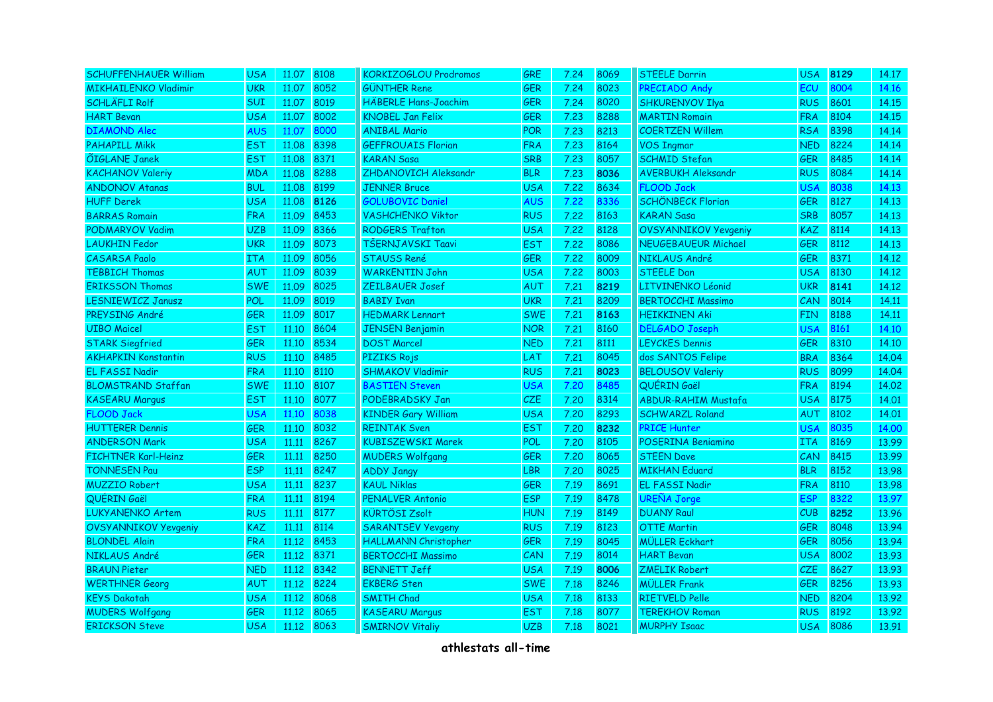| <b>SCHUFFENHAUER William</b> | <b>USA</b> | 11.07 8108 |      | <b>KORKIZOGLOU Prodromos</b> | <b>GRE</b> | 7.24 | 8069 | <b>STEELE Darrin</b>        | <b>USA</b> | 8129 | 14.17 |
|------------------------------|------------|------------|------|------------------------------|------------|------|------|-----------------------------|------------|------|-------|
| <b>MIKHAILENKO Vladimir</b>  | <b>UKR</b> | 11.07      | 8052 | <b>GÜNTHER Rene</b>          | <b>GER</b> | 7.24 | 8023 | PRECIADO Andy               | <b>ECU</b> | 8004 | 14.16 |
| <b>SCHLÄFLI Rolf</b>         | <b>SUI</b> | 11.07      | 8019 | <b>HÄBERLE Hans-Joachim</b>  | <b>GER</b> | 7.24 | 8020 | <b>SHKURENYOV Ilya</b>      | <b>RUS</b> | 8601 | 14.15 |
| <b>HART Bevan</b>            | <b>USA</b> | 11.07      | 8002 | <b>KNOBEL Jan Felix</b>      | <b>GER</b> | 7.23 | 8288 | <b>MARTIN Romain</b>        | <b>FRA</b> | 8104 | 14.15 |
| <b>DIAMOND Alec</b>          | <b>AUS</b> | 11.07      | 8000 | <b>ANIBAL Mario</b>          | <b>POR</b> | 7.23 | 8213 | <b>COERTZEN Willem</b>      | <b>RSA</b> | 8398 | 14.14 |
| <b>PAHAPILL Mikk</b>         | <b>EST</b> | 11.08      | 8398 | <b>GEFFROUAIS Florian</b>    | <b>FRA</b> | 7.23 | 8164 | <b>VOS Ingmar</b>           | <b>NED</b> | 8224 | 14.14 |
| <b>ÕIGLANE Janek</b>         | <b>EST</b> | 11.08      | 8371 | <b>KARAN Sasa</b>            | <b>SRB</b> | 7.23 | 8057 | <b>SCHMID Stefan</b>        | <b>GER</b> | 8485 | 14.14 |
| <b>KACHANOV Valeriy</b>      | <b>MDA</b> | 11.08      | 8288 | ZHDANOVICH Aleksandr         | <b>BLR</b> | 7.23 | 8036 | <b>AVERBUKH Aleksandr</b>   | <b>RUS</b> | 8084 | 14.14 |
| <b>ANDONOV Atanas</b>        | <b>BUL</b> | 11.08      | 8199 | <b>JENNER Bruce</b>          | <b>USA</b> | 7.22 | 8634 | <b>FLOOD Jack</b>           | <b>USA</b> | 8038 | 14.13 |
| <b>HUFF Derek</b>            | <b>USA</b> | 11.08      | 8126 | <b>GOLUBOVIC Daniel</b>      | <b>AUS</b> | 7.22 | 8336 | <b>SCHÖNBECK Florian</b>    | <b>GER</b> | 8127 | 14.13 |
| <b>BARRAS Romain</b>         | <b>FRA</b> | 11.09      | 8453 | <b>VASHCHENKO Viktor</b>     | <b>RUS</b> | 7.22 | 8163 | <b>KARAN Sasa</b>           | <b>SRB</b> | 8057 | 14.13 |
| PODMARYOV Vadim              | <b>UZB</b> | 11.09      | 8366 | <b>RODGERS Trafton</b>       | <b>USA</b> | 7.22 | 8128 | <b>OVSYANNIKOV Yevgeniy</b> | <b>KAZ</b> | 8114 | 14.13 |
| <b>LAUKHIN Fedor</b>         | <b>UKR</b> | 11.09      | 8073 | TŠERNJAVSKI Taavi            | <b>EST</b> | 7.22 | 8086 | <b>NEUGEBAUEUR Michael</b>  | <b>GER</b> | 8112 | 14.13 |
| <b>CASARSA Paolo</b>         | <b>ITA</b> | 11.09      | 8056 | <b>STAUSS René</b>           | <b>GER</b> | 7.22 | 8009 | NIKLAUS André               | <b>GER</b> | 8371 | 14.12 |
| <b>TEBBICH Thomas</b>        | AUT        | 11.09      | 8039 | <b>WARKENTIN John</b>        | <b>USA</b> | 7.22 | 8003 | <b>STEELE Dan</b>           | <b>USA</b> | 8130 | 14.12 |
| <b>ERIKSSON Thomas</b>       | <b>SWE</b> | 11.09      | 8025 | <b>ZEILBAUER Josef</b>       | AUT        | 7.21 | 8219 | LITVINENKO Léonid           | <b>UKR</b> | 8141 | 14.12 |
| <b>LESNIEWICZ Janusz</b>     | POL        | 11.09      | 8019 | <b>BABIY Ivan</b>            | <b>UKR</b> | 7.21 | 8209 | <b>BERTOCCHI Massimo</b>    | <b>CAN</b> | 8014 | 14.11 |
| PREYSING André               | <b>GER</b> | 11.09      | 8017 | <b>HEDMARK Lennart</b>       | <b>SWE</b> | 7.21 | 8163 | <b>HEIKKINEN Aki</b>        | <b>FIN</b> | 8188 | 14,11 |
| <b>UIBO</b> Maicel           | <b>EST</b> | 11.10      | 8604 | <b>JENSEN Benjamin</b>       | <b>NOR</b> | 7.21 | 8160 | <b>DELGADO Joseph</b>       | <b>USA</b> | 8161 | 14.10 |
| <b>STARK Siegfried</b>       | <b>GER</b> | 11.10      | 8534 | <b>DOST Marcel</b>           | <b>NED</b> | 7.21 | 8111 | <b>LEYCKES Dennis</b>       | <b>GER</b> | 8310 | 14.10 |
| <b>AKHAPKIN Konstantin</b>   | <b>RUS</b> | 11.10      | 8485 | <b>PIZIKS Rojs</b>           | LAT        | 7.21 | 8045 | dos SANTOS Felipe           | <b>BRA</b> | 8364 | 14.04 |
| <b>EL FASSI Nadir</b>        | <b>FRA</b> | 11.10      | 8110 | <b>SHMAKOV Vladimir</b>      | <b>RUS</b> | 7.21 | 8023 | <b>BELOUSOV Valeriy</b>     | <b>RUS</b> | 8099 | 14.04 |
| <b>BLOMSTRAND Staffan</b>    | <b>SWE</b> | 11.10      | 8107 | <b>BASTIEN Steven</b>        | USA        | 7.20 | 8485 | QUÉRIN Gaël                 | <b>FRA</b> | 8194 | 14.02 |
| <b>KASEARU Marqus</b>        | <b>EST</b> | 11.10      | 8077 | PODEBRADSKY Jan              | <b>CZE</b> | 7.20 | 8314 | <b>ABDUR-RAHIM Mustafa</b>  | <b>USA</b> | 8175 | 14,01 |
| <b>FLOOD Jack</b>            | <b>USA</b> | 11.10      | 8038 | <b>KINDER Gary William</b>   | <b>USA</b> | 7.20 | 8293 | <b>SCHWARZL Roland</b>      | <b>AUT</b> | 8102 | 14.01 |
| <b>HUTTERER Dennis</b>       | <b>GER</b> | 11.10      | 8032 | <b>REINTAK Sven</b>          | <b>EST</b> | 7.20 | 8232 | <b>PRICE Hunter</b>         | <b>USA</b> | 8035 | 14.00 |
| <b>ANDERSON Mark</b>         | <b>USA</b> | 11,11      | 8267 | <b>KUBISZEWSKI Marek</b>     | POL        | 7.20 | 8105 | POSERINA Beniamino          | <b>ITA</b> | 8169 | 13.99 |
| <b>FICHTNER Karl-Heinz</b>   | <b>GER</b> | 11.11      | 8250 | <b>MUDERS Wolfgang</b>       | <b>GER</b> | 7.20 | 8065 | <b>STEEN Dave</b>           | <b>CAN</b> | 8415 | 13.99 |
| <b>TONNESEN Pau</b>          | <b>ESP</b> | 11.11      | 8247 | <b>ADDY Jangy</b>            | <b>LBR</b> | 7.20 | 8025 | <b>MIKHAN Eduard</b>        | <b>BLR</b> | 8152 | 13.98 |
| <b>MUZZIO Robert</b>         | USA        | 11.11      | 8237 | <b>KAUL Niklas</b>           | <b>GER</b> | 7.19 | 8691 | <b>EL FASSI Nadir</b>       | <b>FRA</b> | 8110 | 13.98 |
| QUERIN Gaël                  | <b>FRA</b> | 11.11      | 8194 | <b>PENALVER Antonio</b>      | <b>ESP</b> | 7.19 | 8478 | <b>UREÑA Jorge</b>          | <b>ESP</b> | 8322 | 13.97 |
| <b>LUKYANENKO Artem</b>      | <b>RUS</b> | 11.11      | 8177 | <b>KÜRTÖSI Zsolt</b>         | <b>HUN</b> | 7.19 | 8149 | <b>DUANY Raul</b>           | <b>CUB</b> | 8252 | 13.96 |
| <b>OVSYANNIKOV Yevgeniy</b>  | <b>KAZ</b> | 11.11      | 8114 | <b>SARANTSEV Yevgeny</b>     | <b>RUS</b> | 7.19 | 8123 | <b>OTTE Martin</b>          | GER        | 8048 | 13.94 |
| <b>BLONDEL Alain</b>         | <b>FRA</b> | 11.12      | 8453 | <b>HALLMANN Christopher</b>  | <b>GER</b> | 7.19 | 8045 | <b>MÜLLER Eckhart</b>       | GER        | 8056 | 13.94 |
| NIKLAUS André                | <b>GER</b> | 11.12      | 8371 | <b>BERTOCCHI Massimo</b>     | CAN        | 7.19 | 8014 | <b>HART Bevan</b>           | <b>USA</b> | 8002 | 13.93 |
| <b>BRAUN Pieter</b>          | <b>NED</b> | 11.12      | 8342 | <b>BENNETT Jeff</b>          | <b>USA</b> | 7.19 | 8006 | <b>ZMELIK Robert</b>        | <b>CZE</b> | 8627 | 13.93 |
| <b>WERTHNER Georg</b>        | AUT        | 11.12      | 8224 | <b>EKBERG Sten</b>           | <b>SWE</b> | 7.18 | 8246 | <b>MÜLLER Frank</b>         | <b>GER</b> | 8256 | 13.93 |
| <b>KEYS Dakotah</b>          | USA        | 11.12      | 8068 | <b>SMITH Chad</b>            | <b>USA</b> | 7.18 | 8133 | <b>RIETVELD Pelle</b>       | <b>NED</b> | 8204 | 13.92 |
| <b>MUDERS Wolfgang</b>       | <b>GER</b> | 11.12      | 8065 | <b>KASEARU Margus</b>        | <b>EST</b> | 7.18 | 8077 | <b>TEREKHOV Roman</b>       | <b>RUS</b> | 8192 | 13.92 |
| <b>ERICKSON Steve</b>        | <b>USA</b> | 11.12      | 8063 | <b>SMIRNOV Vitaliy</b>       | <b>UZB</b> | 7.18 | 8021 | <b>MURPHY Isaac</b>         | <b>USA</b> | 8086 | 13.91 |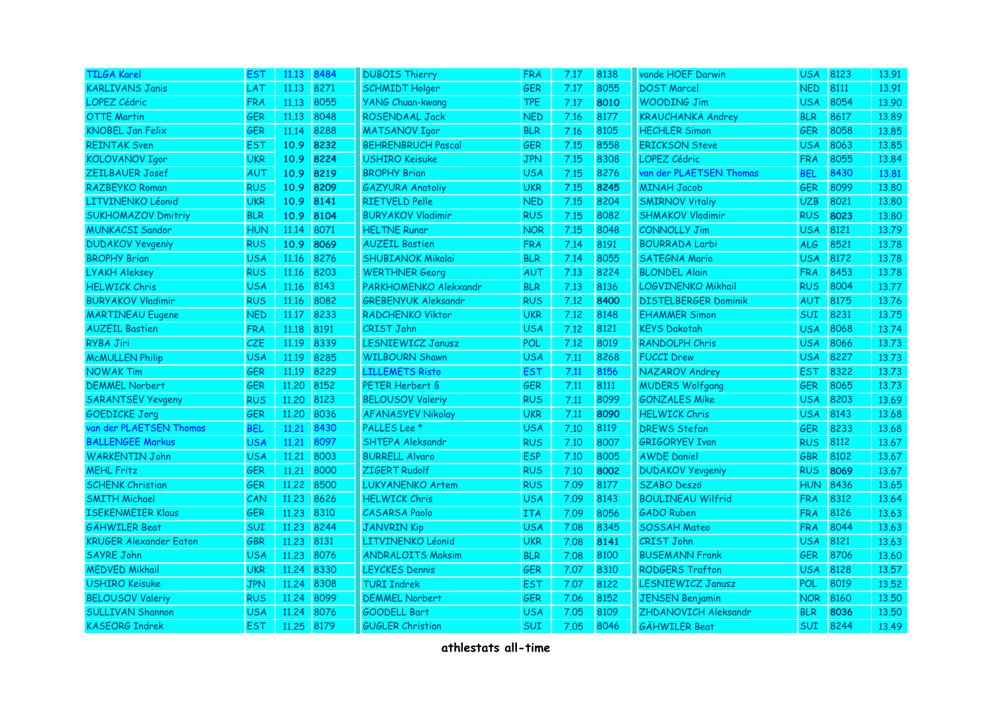| <b>TILGA Karel</b>            | <b>EST</b> | 11.13      | 8484 | <b>DUBOIS Thierry</b>      | <b>FRA</b> | 7.17 | 8138 | vande HOEF Darwin           | <b>USA</b> | 8123 | 13.91 |
|-------------------------------|------------|------------|------|----------------------------|------------|------|------|-----------------------------|------------|------|-------|
| <b>KARLIVANS Janis</b>        | <b>LAT</b> | 11.13      | 8271 | <b>SCHMIDT Holger</b>      | <b>GER</b> | 7.17 | 8055 | <b>DOST Marcel</b>          | <b>NED</b> | 8111 | 13.91 |
| LOPEZ Cédric                  | <b>FRA</b> | 11.13      | 8055 | <b>YANG Chuan-kwang</b>    | <b>TPE</b> | 7.17 | 8010 | <b>WOODING Jim</b>          | <b>USA</b> | 8054 | 13.90 |
| <b>OTTE Martin</b>            | <b>GER</b> | 11.13      | 8048 | <b>ROSENDAAL Jack</b>      | <b>NED</b> | 7.16 | 8177 | <b>KRAUCHANKA Andrey</b>    | <b>BLR</b> | 8617 | 13.89 |
| <b>KNOBEL Jan Felix</b>       | <b>GER</b> | 11.14      | 8288 | <b>MATSANOV Igor</b>       | <b>BLR</b> | 7.16 | 8105 | <b>HECHLER Simon</b>        | <b>GER</b> | 8058 | 13.85 |
| <b>REINTAK Sven</b>           | <b>EST</b> | 10.9       | 8232 | <b>BEHRENBRUCH Pascal</b>  | <b>GER</b> | 7.15 | 8558 | <b>ERICKSON Steve</b>       | <b>USA</b> | 8063 | 13.85 |
| <b>KOLOVANOV Igor</b>         | <b>UKR</b> | 10.9       | 8224 | <b>USHIRO Keisuke</b>      | <b>JPN</b> | 7.15 | 8308 | <b>LOPEZ Cédric</b>         | <b>FRA</b> | 8055 | 13.84 |
| <b>ZEILBAUER Josef</b>        | <b>AUT</b> | 10.9       | 8219 | <b>BROPHY Brian</b>        | <b>USA</b> | 7.15 | 8276 | van der PLAETSEN Thomas     | <b>BEL</b> | 8430 | 13.81 |
| <b>RAZBEYKO Roman</b>         | <b>RUS</b> | 10.9       | 8209 | <b>GAZYURA Anatoliy</b>    | <b>UKR</b> | 7.15 | 8245 | <b>MINAH Jacob</b>          | <b>GER</b> | 8099 | 13.80 |
| LITVINENKO Léonid             | <b>UKR</b> | 10.9       | 8141 | <b>RIETVELD Pelle</b>      | <b>NED</b> | 7.15 | 8204 | <b>SMIRNOV Vitaliy</b>      | <b>UZB</b> | 8021 | 13.80 |
| <b>SUKHOMAZOV Dmitriy</b>     | <b>BLR</b> | 10.9       | 8104 | <b>BURYAKOV Vladimir</b>   | <b>RUS</b> | 7.15 | 8082 | <b>SHMAKOV Vladimir</b>     | <b>RUS</b> | 8023 | 13,80 |
| <b>MUNKACSI Sandor</b>        | <b>HUN</b> | 11.14      | 8071 | <b>HELTNE Runar</b>        | <b>NOR</b> | 7.15 | 8048 | <b>CONNOLLY Jim</b>         | <b>USA</b> | 8121 | 13.79 |
| <b>DUDAKOV Yevgeniy</b>       | <b>RUS</b> | 10.9       | 8069 | <b>AUZEIL Bastien</b>      | <b>FRA</b> | 7.14 | 8191 | <b>BOURRADA Larbi</b>       | <b>ALG</b> | 8521 | 13.78 |
| <b>BROPHY Brian</b>           | USA        | 11.16      | 8276 | <b>SHUBIANOK Mikalai</b>   | <b>BLR</b> | 7.14 | 8055 | <b>SATEGNA Mario</b>        | <b>USA</b> | 8172 | 13.78 |
| <b>LYAKH Aleksey</b>          | <b>RUS</b> | 11.16      | 8203 | <b>WERTHNER Georg</b>      | AUT        | 7.13 | 8224 | <b>BLONDEL Alain</b>        | <b>FRA</b> | 8453 | 13.78 |
| <b>HELWICK Chris</b>          | <b>USA</b> | 11.16      | 8143 | PARKHOMENKO Alekxandr      | <b>BLR</b> | 7.13 | 8136 | LOGVINENKO Mikhail          | <b>RUS</b> | 8004 | 13.77 |
| <b>BURYAKOV Vladimir</b>      | <b>RUS</b> | 11.16      | 8082 | <b>GREBENYUK Aleksandr</b> | <b>RUS</b> | 7.12 | 8400 | <b>DISTELBERGER Dominik</b> | <b>AUT</b> | 8175 | 13.76 |
| <b>MARTINEAU Eugene</b>       | <b>NED</b> | 11.17      | 8233 | <b>RADCHENKO Viktor</b>    | <b>UKR</b> | 7.12 | 8148 | <b>EHAMMER Simon</b>        | <b>SUI</b> | 8231 | 13.75 |
| <b>AUZEIL Bastien</b>         | <b>FRA</b> | 11.18      | 8191 | <b>CRIST John</b>          | <b>USA</b> | 7.12 | 8121 | <b>KEYS Dakotah</b>         | <b>USA</b> | 8068 | 13.74 |
| RYBA Jiri                     | <b>CZE</b> | 11.19      | 8339 | <b>LESNIEWICZ Janusz</b>   | <b>POL</b> | 7.12 | 8019 | RANDOLPH Chris              | <b>USA</b> | 8066 | 13.73 |
| <b>McMULLEN Philip</b>        | <b>USA</b> | 11.19      | 8285 | <b>WILBOURN Shawn</b>      | <b>USA</b> | 7.11 | 8268 | <b>FUCCI Drew</b>           | <b>USA</b> | 8227 | 13.73 |
| <b>NOWAK Tim</b>              | <b>GER</b> | 11.19      | 8229 | <b>LILLEMETS Risto</b>     | <b>EST</b> | 7.11 | 8156 | NAZAROV Andrey              | <b>EST</b> | 8322 | 13.73 |
| <b>DEMMEL Norbert</b>         | <b>GER</b> | 11,20      | 8152 | PETER Herbert S            | <b>GER</b> | 7.11 | 8111 | <b>MUDERS Wolfgang</b>      | <b>GER</b> | 8065 | 13.73 |
| <b>SARANTSEV Yevgeny</b>      | <b>RUS</b> | 11,20      | 8123 | <b>BELOUSOV Valeriy</b>    | <b>RUS</b> | 7.11 | 8099 | <b>GONZALES Mike</b>        | <b>USA</b> | 8203 | 13.69 |
| <b>GOEDICKE Jorg</b>          | <b>GER</b> | 11,20      | 8036 | <b>AFANASYEV Nikolay</b>   | <b>UKR</b> | 7.11 | 8090 | <b>HELWICK Chris</b>        | <b>USA</b> | 8143 | 13.68 |
| van der PLAETSEN Thomas       | <b>BEL</b> | 11,21      | 8430 | PALLES Lee *               | <b>USA</b> | 7.10 | 8119 | <b>DREWS Stefan</b>         | <b>GER</b> | 8233 | 13.68 |
| <b>BALLENGEE Markus</b>       | <b>USA</b> | 11.21      | 8097 | <b>SHTEPA Aleksandr</b>    | <b>RUS</b> | 7.10 | 8007 | <b>GRIGORYEV Ivan</b>       | <b>RUS</b> | 8112 | 13.67 |
| <b>WARKENTIN John</b>         | <b>USA</b> | 11.21      | 8003 | <b>BURRELL Alvaro</b>      | <b>ESP</b> | 7.10 | 8005 | <b>AWDE Daniel</b>          | <b>GBR</b> | 8102 | 13.67 |
| <b>MEHL Fritz</b>             | <b>GER</b> | 11.21      | 8000 | ZIGERT Rudolf              | <b>RUS</b> | 7.10 | 8002 | <b>DUDAKOV Yevgeniy</b>     | <b>RUS</b> | 8069 | 13.67 |
| <b>SCHENK Christian</b>       | <b>GER</b> | 11,22      | 8500 | <b>LUKYANENKO Artem</b>    | <b>RUS</b> | 7.09 | 8177 | <b>SZABO Deszö</b>          | <b>HUN</b> | 8436 | 13.65 |
| <b>SMITH Michael</b>          | CAN        | 11.23 8626 |      | <b>HELWICK Chris</b>       | <b>USA</b> | 7.09 | 8143 | <b>BOULINEAU Wilfrid</b>    | <b>FRA</b> | 8312 | 13.64 |
| <b>ISEKENMEIER Klaus</b>      | <b>GER</b> | 11.23 8310 |      | <b>CASARSA Paolo</b>       | <b>ITA</b> | 7.09 | 8056 | <b>GADO Ruben</b>           | <b>FRA</b> | 8126 | 13.63 |
| <b>GÄHWILER Beat</b>          | <b>SUI</b> | 11.23 8244 |      | <b>JANVRIN Kip</b>         | <b>USA</b> | 7.08 | 8345 | <b>SOSSAH Mateo</b>         | <b>FRA</b> | 8044 | 13.63 |
| <b>KRUGER Alexander Eaton</b> | <b>GBR</b> | 11.23      | 8131 | LITVINENKO Léonid          | <b>UKR</b> | 7.08 | 8141 | <b>CRIST John</b>           | <b>USA</b> | 8121 | 13.63 |
| <b>SAYRE John</b>             | <b>USA</b> | 11.23      | 8076 | <b>ANDRALOITS Maksim</b>   | <b>BLR</b> | 7.08 | 8100 | <b>BUSEMANN Frank</b>       | <b>GER</b> | 8706 | 13,60 |
| <b>MEDVED Mikhail</b>         | <b>UKR</b> | 11.24 8330 |      | <b>LEYCKES Dennis</b>      | <b>GER</b> | 7.07 | 8310 | <b>RODGERS Trafton</b>      | <b>USA</b> | 8128 | 13.57 |
| <b>USHIRO Keisuke</b>         | <b>JPN</b> | 11.24 8308 |      | <b>TURI Indrek</b>         | <b>EST</b> | 7.07 | 8122 | LESNIEWICZ Janusz           | <b>POL</b> | 8019 | 13.52 |
| <b>BELOUSOV Valeriy</b>       | <b>RUS</b> | 11.24      | 8099 | <b>DEMMEL Norbert</b>      | <b>GER</b> | 7.06 | 8152 | <b>JENSEN Benjamin</b>      | <b>NOR</b> | 8160 | 13.50 |
| SULLIVAN Shannon              | <b>USA</b> | 11.24 8076 |      | <b>GOODELL Bart</b>        | <b>USA</b> | 7.05 | 8109 | ZHDANOVICH Aleksandr        | <b>BLR</b> | 8036 | 13.50 |
| <b>KASEORG Indrek</b>         | <b>EST</b> | 11.25 8179 |      | <b>GUGLER Christian</b>    | <b>SUI</b> | 7.05 | 8046 | <b>GÄHWILER Beat</b>        | <b>SUI</b> | 8244 | 13.49 |